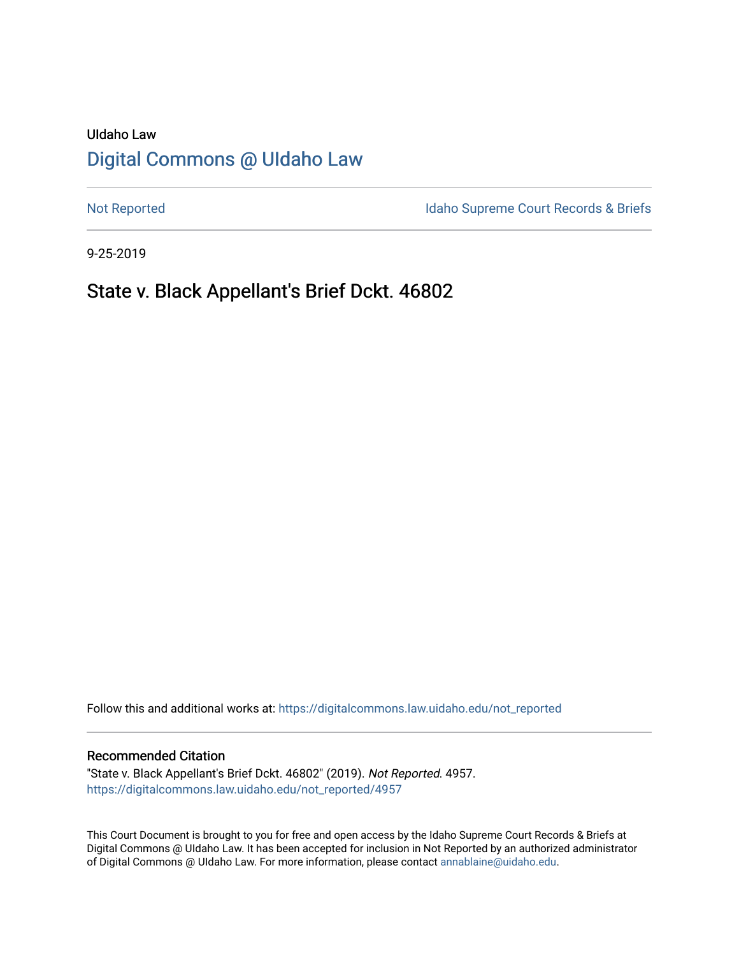# UIdaho Law [Digital Commons @ UIdaho Law](https://digitalcommons.law.uidaho.edu/)

[Not Reported](https://digitalcommons.law.uidaho.edu/not_reported) **Idaho Supreme Court Records & Briefs** 

9-25-2019

# State v. Black Appellant's Brief Dckt. 46802

Follow this and additional works at: [https://digitalcommons.law.uidaho.edu/not\\_reported](https://digitalcommons.law.uidaho.edu/not_reported?utm_source=digitalcommons.law.uidaho.edu%2Fnot_reported%2F4957&utm_medium=PDF&utm_campaign=PDFCoverPages) 

#### Recommended Citation

"State v. Black Appellant's Brief Dckt. 46802" (2019). Not Reported. 4957. [https://digitalcommons.law.uidaho.edu/not\\_reported/4957](https://digitalcommons.law.uidaho.edu/not_reported/4957?utm_source=digitalcommons.law.uidaho.edu%2Fnot_reported%2F4957&utm_medium=PDF&utm_campaign=PDFCoverPages)

This Court Document is brought to you for free and open access by the Idaho Supreme Court Records & Briefs at Digital Commons @ UIdaho Law. It has been accepted for inclusion in Not Reported by an authorized administrator of Digital Commons @ UIdaho Law. For more information, please contact [annablaine@uidaho.edu](mailto:annablaine@uidaho.edu).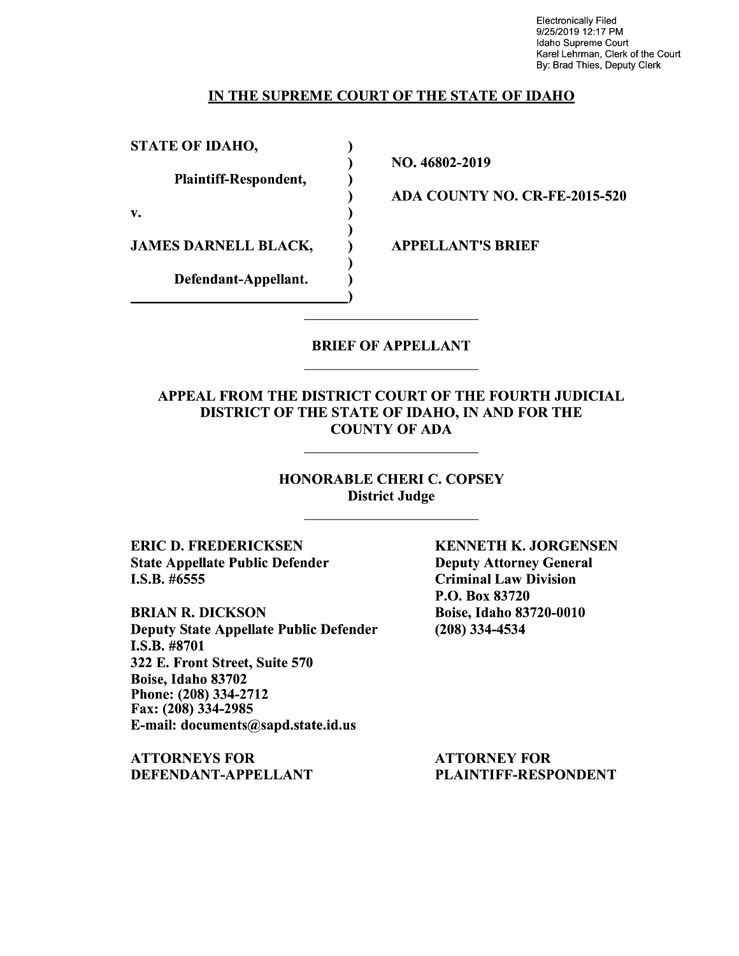Electronically Filed 9/25/2019 12:17 PM Idaho Supreme Court Karel Lehrman, Clerk of the Court By: Brad Thies, Deputy Clerk

### IN THE SUPREME COURT OF THE STATE OF IDAHO

) ) ) ) ) ) ) ) )

STATE OF IDAHO,

Plaintiff-Respondent,

v.

JAMES DARNELL BLACK,

Defendant-Appellant.

NO. 46802-2019

ADA COUNTY NO. CR-FE-2015-520

APPELLANT'S BRIEF

## BRIEF OF APPELLANT

## APPEAL FROM THE DISTRICT COURT OF THE FOURTH JUDICIAL DISTRICT OF THE STATE OF IDAHO, IN AND FOR THE COUNTY OF ADA

## HONORABLE CHERI C. COPSEY District Judge

ERIC D. FREDERICKSEN State Appellate Public Defender I.S.B. #6555

BRIAN R. DICKSON Deputy State Appellate Public Defender I.S.B. #8701 322 E. Front Street, Suite 570 Boise, Idaho 83702 Phone: (208) 334-2712 Fax: (208) 334-2985 E-mail: documents@sapd.state.id.us

ATTORNEYS FOR DEFENDANT-APPELLANT KENNETH K. JORGENSEN Deputy Attorney General Criminal Law Division P.O. Box 83720 Boise, Idaho 83720-0010 (208) 334-4534

ATTORNEY FOR PLAINTIFF-RESPONDENT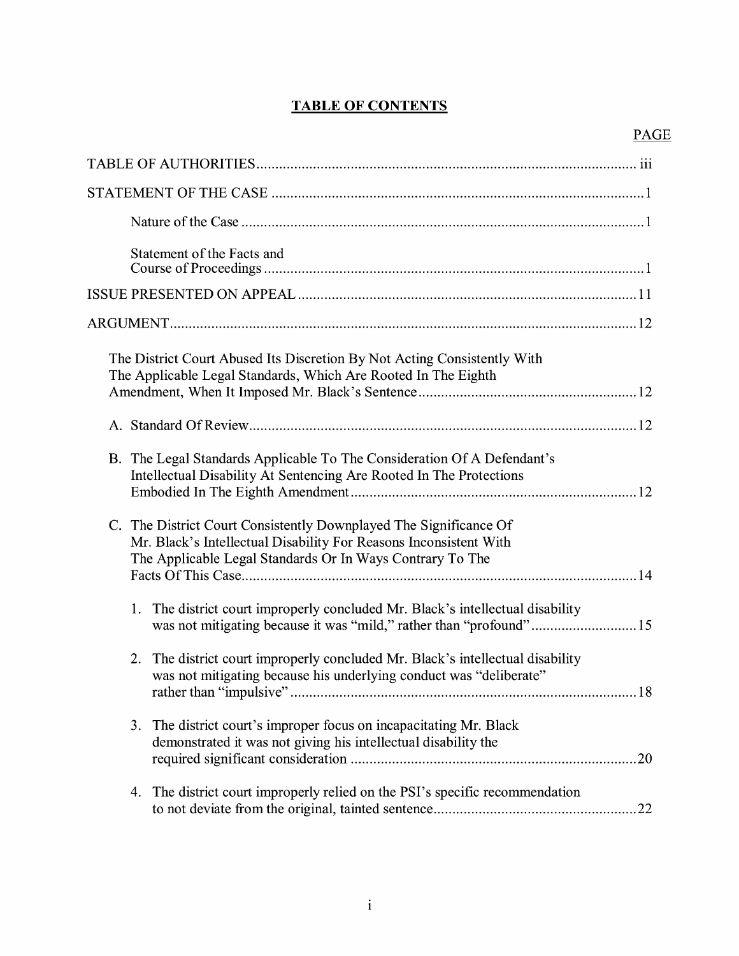# **TABLE OF CONTENTS**

| Statement of the Facts and                                                                                                                                                                          |
|-----------------------------------------------------------------------------------------------------------------------------------------------------------------------------------------------------|
|                                                                                                                                                                                                     |
|                                                                                                                                                                                                     |
| The District Court Abused Its Discretion By Not Acting Consistently With<br>The Applicable Legal Standards, Which Are Rooted In The Eighth                                                          |
|                                                                                                                                                                                                     |
| B. The Legal Standards Applicable To The Consideration Of A Defendant's<br>Intellectual Disability At Sentencing Are Rooted In The Protections                                                      |
| C. The District Court Consistently Downplayed The Significance Of<br>Mr. Black's Intellectual Disability For Reasons Inconsistent With<br>The Applicable Legal Standards Or In Ways Contrary To The |
| The district court improperly concluded Mr. Black's intellectual disability<br>1.<br>was not mitigating because it was "mild," rather than "profound"15                                             |
| The district court improperly concluded Mr. Black's intellectual disability<br>2.<br>was not mitigating because his underlying conduct was "deliberate"<br>.18                                      |
| The district court's improper focus on incapacitating Mr. Black<br>3.<br>demonstrated it was not giving his intellectual disability the                                                             |
| The district court improperly relied on the PSI's specific recommendation<br>4.                                                                                                                     |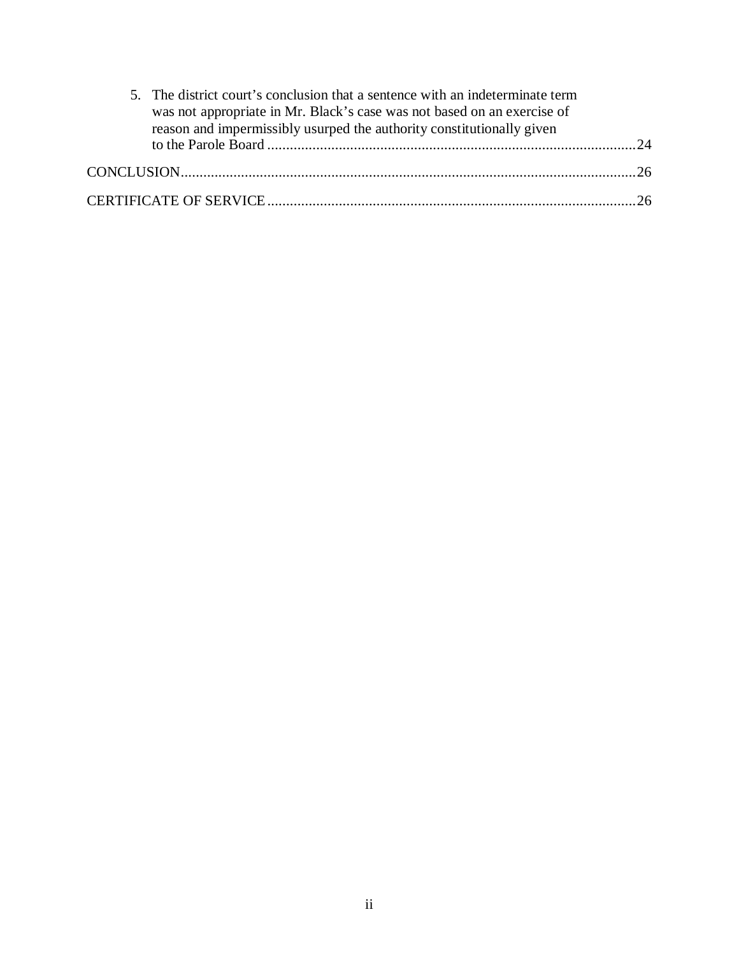| 5. The district court's conclusion that a sentence with an indeterminate term<br>was not appropriate in Mr. Black's case was not based on an exercise of<br>reason and impermissibly usurped the authority constitutionally given |  |  |
|-----------------------------------------------------------------------------------------------------------------------------------------------------------------------------------------------------------------------------------|--|--|
|                                                                                                                                                                                                                                   |  |  |
|                                                                                                                                                                                                                                   |  |  |
|                                                                                                                                                                                                                                   |  |  |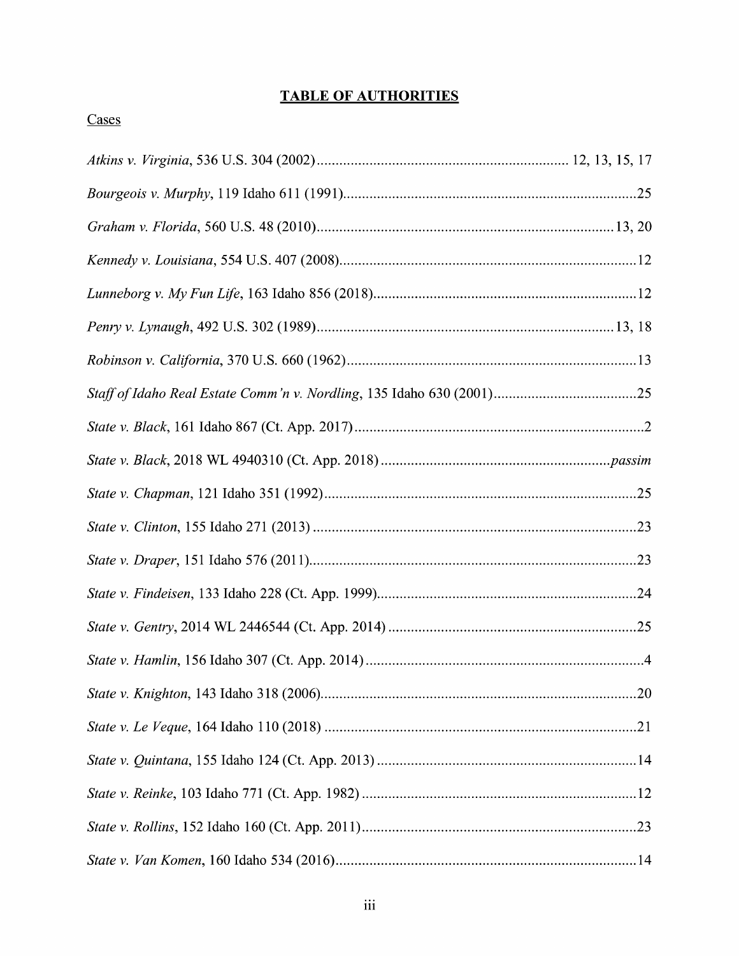# **TABLE OF AUTHORITIES**

# Cases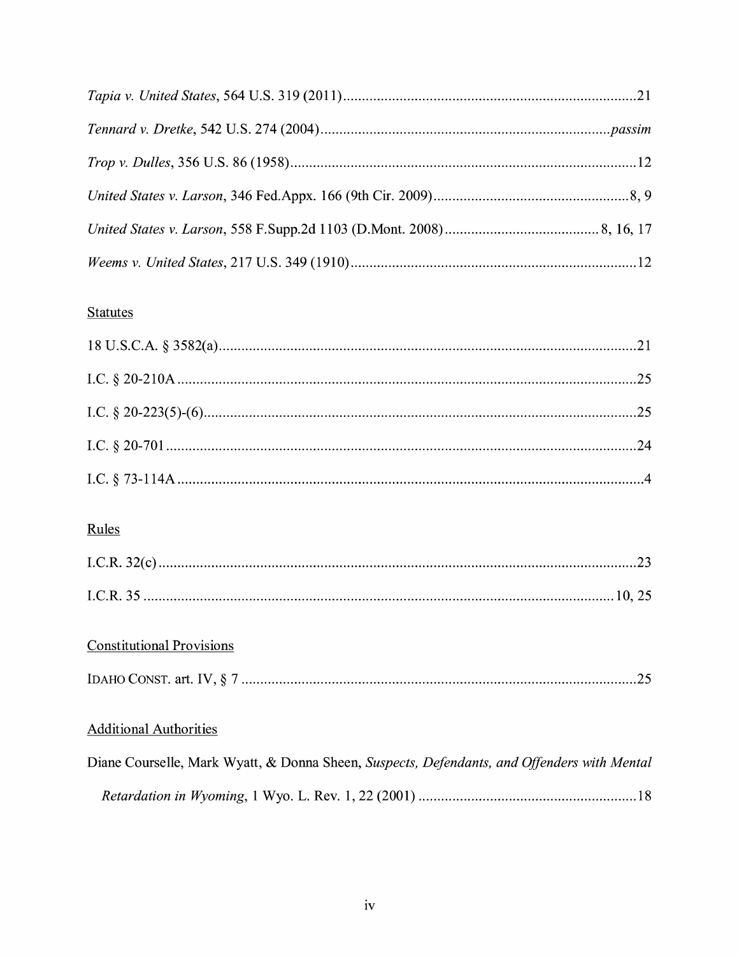# **Statutes**

# Rules

# **Constitutional Provisions**

|--|--|

# **Additional Authorities**

| Diane Courselle, Mark Wyatt, & Donna Sheen, Suspects, Defendants, and Offenders with Mental |  |  |  |
|---------------------------------------------------------------------------------------------|--|--|--|
|                                                                                             |  |  |  |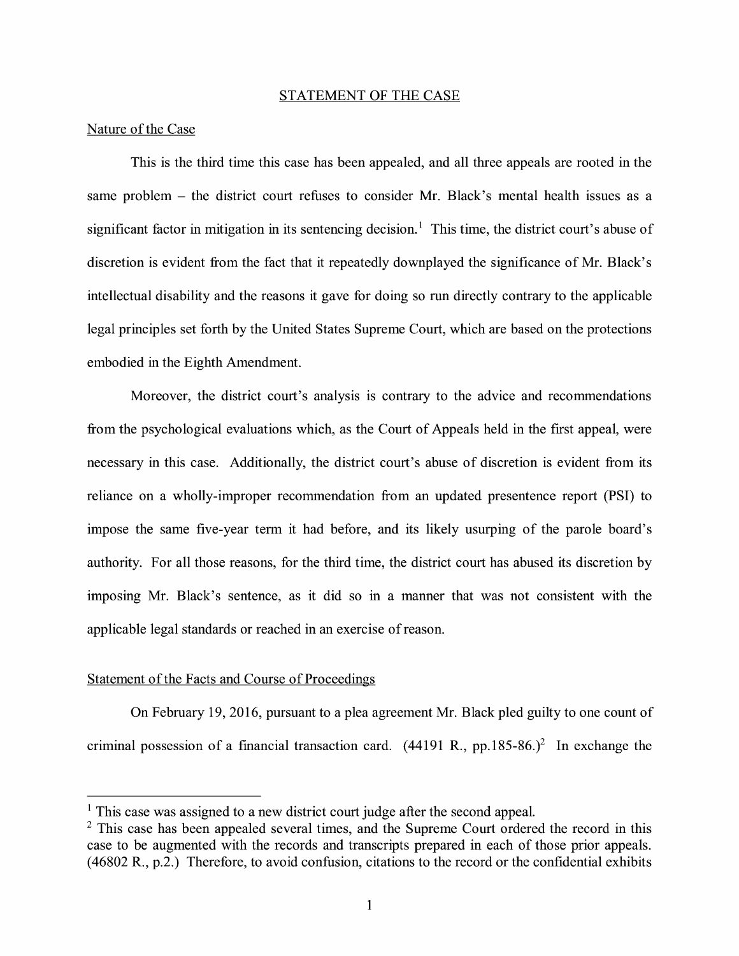#### STATEMENT OF THE CASE

#### Nature of the Case

This is the third time this case has been appealed, and all three appeals are rooted in the same problem - the district court refuses to consider Mr. Black's mental health issues as a significant factor in mitigation in its sentencing decision.<sup>1</sup> This time, the district court's abuse of discretion is evident from the fact that it repeatedly downplayed the significance of Mr. Black's intellectual disability and the reasons it gave for doing so run directly contrary to the applicable legal principles set forth by the United States Supreme Court, which are based on the protections embodied in the Eighth Amendment.

Moreover, the district court's analysis is contrary to the advice and recommendations from the psychological evaluations which, as the Court of Appeals held in the first appeal, were necessary in this case. Additionally, the district court's abuse of discretion is evident from its reliance on a wholly-improper recommendation from an updated presentence report **(PSI)** to impose the same five-year term it had before, and its likely usurping of the parole board's authority. For all those reasons, for the third time, the district court has abused its discretion by imposing Mr. Black's sentence, as it did so in a manner that was not consistent with the applicable legal standards or reached in an exercise of reason.

#### Statement of the Facts and Course of Proceedings

On February 19, 2016, pursuant to a plea agreement Mr. Black pled guilty to one count of criminal possession of a financial transaction card.  $(44191 \text{ R}., \text{pp.185-86.})^2$  In exchange the

 $<sup>1</sup>$  This case was assigned to a new district court judge after the second appeal.</sup>

 $2$  This case has been appealed several times, and the Supreme Court ordered the record in this case to be augmented with the records and transcripts prepared in each of those prior appeals. (46802 R., p.2.) Therefore, to avoid confusion, citations to the record or the confidential exhibits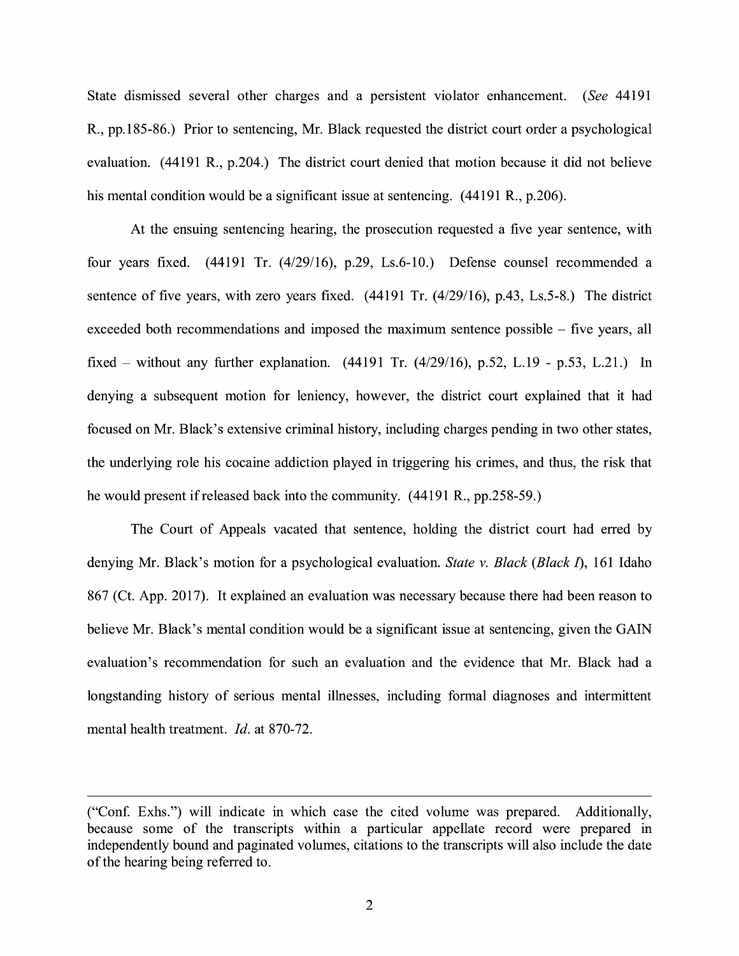State dismissed several other charges and a persistent violator enhancement. ( *See* 44191 R., pp.185-86.) Prior to sentencing, Mr. Black requested the district court order a psychological evaluation. (44191 R., p.204.) The district court denied that motion because it did not believe his mental condition would be a significant issue at sentencing. (44191 R., p.206).

At the ensuing sentencing hearing, the prosecution requested a five year sentence, with four years fixed. (44191 Tr. (4/29/16), p.29, Ls.6-10.) Defense counsel recommended a sentence of five years, with zero years fixed. (44191 Tr. (4/29/16), p.43, Ls.5-8.) The district exceeded both recommendations and imposed the maximum sentence possible – five years, all fixed – without any further explanation.  $(44191 \text{ Tr.} (4/29/16), p.52, L.19 - p.53, L.21.)$  In denying a subsequent motion for leniency, however, the district court explained that it had focused on Mr. Black's extensive criminal history, including charges pending in two other states, the underlying role his cocaine addiction played in triggering his crimes, and thus, the risk that he would present if released back into the community. (44191 R., pp.258-59.)

The Court of Appeals vacated that sentence, holding the district court had erred by denying Mr. Black's motion for a psychological evaluation. *State v. Black (Black I),* 161 Idaho 867 (Ct. App. 2017). It explained an evaluation was necessary because there had been reason to believe Mr. Black's mental condition would be a significant issue at sentencing, given the GAIN evaluation's recommendation for such an evaluation and the evidence that Mr. Black had a longstanding history of serious mental illnesses, including formal diagnoses and intermittent mental health treatment. *Id.* at 870-72.

<sup>(&</sup>quot;Con£ Exhs.") will indicate in which case the cited volume was prepared. Additionally, because some of the transcripts within a particular appellate record were prepared in independently bound and paginated volumes, citations to the transcripts will also include the date of the hearing being referred to.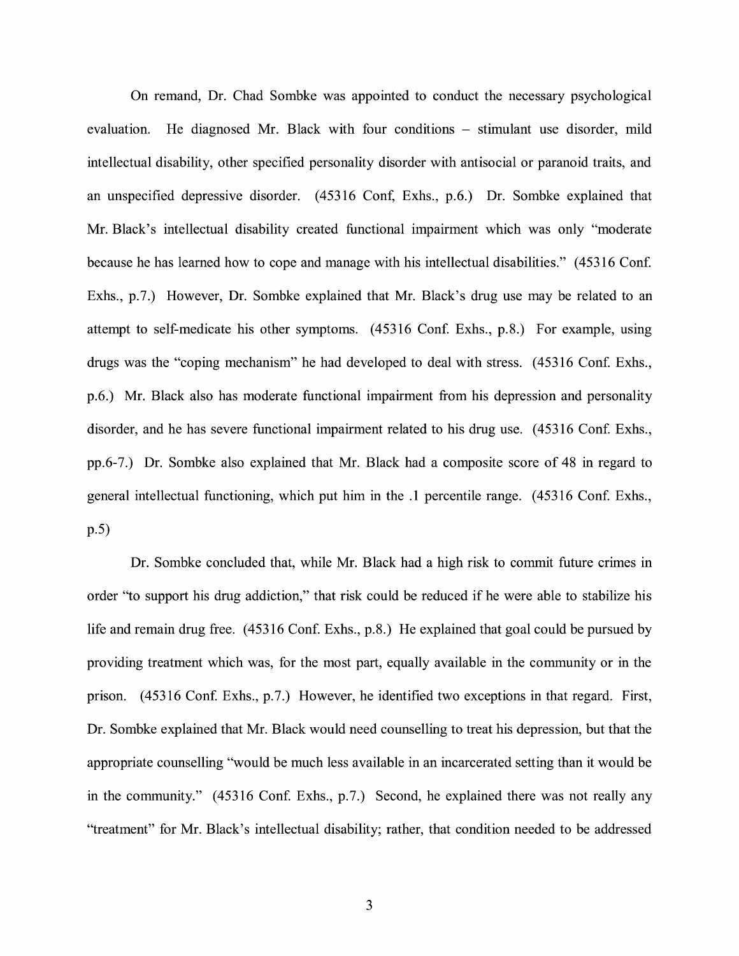On remand, Dr. Chad Sombke was appointed to conduct the necessary psychological evaluation. He diagnosed Mr. Black with four conditions – stimulant use disorder, mild intellectual disability, other specified personality disorder with antisocial or paranoid traits, and an unspecified depressive disorder. (45316 Conf, Exhs., p.6.) Dr. Sombke explained that Mr. Black's intellectual disability created functional impairment which was only "moderate because he has learned how to cope and manage with his intellectual disabilities." ( 45316 Conf. Exhs., p.7.) However, Dr. Sombke explained that Mr. Black's drug use may be related to an attempt to self-medicate his other symptoms. (45316 Conf. Exhs., p.8.) For example, using drugs was the "coping mechanism" he had developed to deal with stress. ( 45316 Conf. Exhs., p.6.) Mr. Black also has moderate functional impairment from his depression and personality disorder, and he has severe functional impairment related to his drug use. ( 45316 Conf. Exhs., pp.6-7.) Dr. Sombke also explained that Mr. Black had a composite score of 48 in regard to general intellectual functioning, which put him in the .1 percentile range. ( 45316 Conf. Exhs., p.5)

Dr. Sombke concluded that, while Mr. Black had a high risk to commit future crimes in order "to support his drug addiction," that risk could be reduced if he were able to stabilize his life and remain drug free. (45316 Conf. Exhs., p.8.) He explained that goal could be pursued by providing treatment which was, for the most part, equally available in the community or in the prison. (45316 Conf. Exhs., p.7.) However, he identified two exceptions in that regard. First, Dr. Sombke explained that Mr. Black would need counselling to treat his depression, but that the appropriate counselling "would be much less available in an incarcerated setting than it would be in the community." (45316 Conf. Exhs., p.7.) Second, he explained there was not really any "treatment" for Mr. Black's intellectual disability; rather, that condition needed to be addressed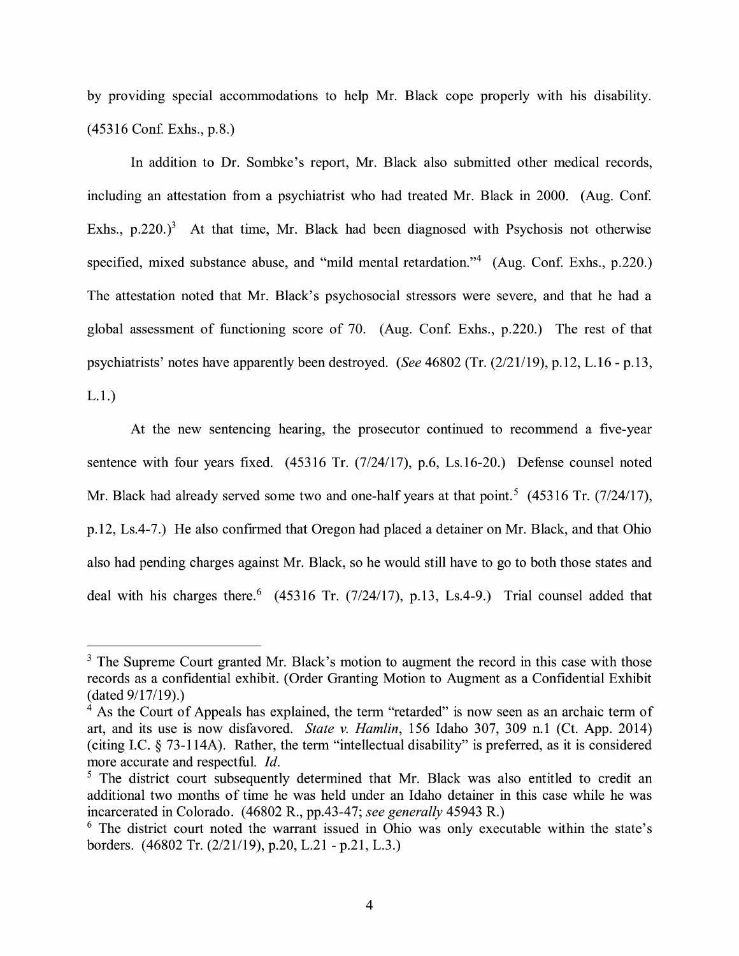by providing special accommodations to help Mr. Black cope properly with his disability. (45316 Con£ Exhs., p.8.)

In addition to Dr. Sombke's report, Mr. Black also submitted other medical records, including an attestation from a psychiatrist who had treated Mr. Black in 2000. (Aug. Conf. Exhs.,  $p.220$ .)<sup>3</sup> At that time, Mr. Black had been diagnosed with Psychosis not otherwise specified, mixed substance abuse, and "mild mental retardation."<sup>4</sup> (Aug. Conf. Exhs., p.220.) The attestation noted that Mr. Black's psychosocial stressors were severe, and that he had a global assessment of functioning score of 70. (Aug. Conf. Exhs., p.220.) The rest of that psychiatrists' notes have apparently been destroyed. *(See* 46802 (Tr. (2/21/19), p.12, L.16 - p.13, L.1.)

At the new sentencing hearing, the prosecutor continued to recommend a five-year sentence with four years fixed. (45316 Tr. (7/24/17), p.6, Ls.16-20.) Defense counsel noted Mr. Black had already served some two and one-half years at that point.<sup>5</sup> (45316 Tr. (7/24/17), p.12, Ls.4-7.) He also confirmed that Oregon had placed a detainer on Mr. Black, and that Ohio also had pending charges against Mr. Black, so he would still have to go to both those states and deal with his charges there.  $(45316 \text{ Tr.} (7/24/17), p.13, Ls.4-9.)$  Trial counsel added that

 $3$  The Supreme Court granted Mr. Black's motion to augment the record in this case with those records as a confidential exhibit. ( Order Granting Motion to Augment as a Confidential Exhibit  $(data 9/17/19).)$ 

 $4$  As the Court of Appeals has explained, the term "retarded" is now seen as an archaic term of art, and its use is now disfavored. *State v. Hamlin,* 156 Idaho 307, 309 n.1 (Ct. App. 2014) ( citing LC. § 73-114A). Rather, the term "intellectual disability" is preferred, as it is considered more accurate and respectful. *Id.* 

<sup>&</sup>lt;sup>5</sup> The district court subsequently determined that Mr. Black was also entitled to credit an additional two months of time he was held under an Idaho detainer in this case while he was incarcerated in Colorado. (46802 R., pp.43-47; *see generally* 45943 R.)

 $6$  The district court noted the warrant issued in Ohio was only executable within the state's borders. (46802 Tr. (2/21/19), p.20, L.21 - p.21, L.3.)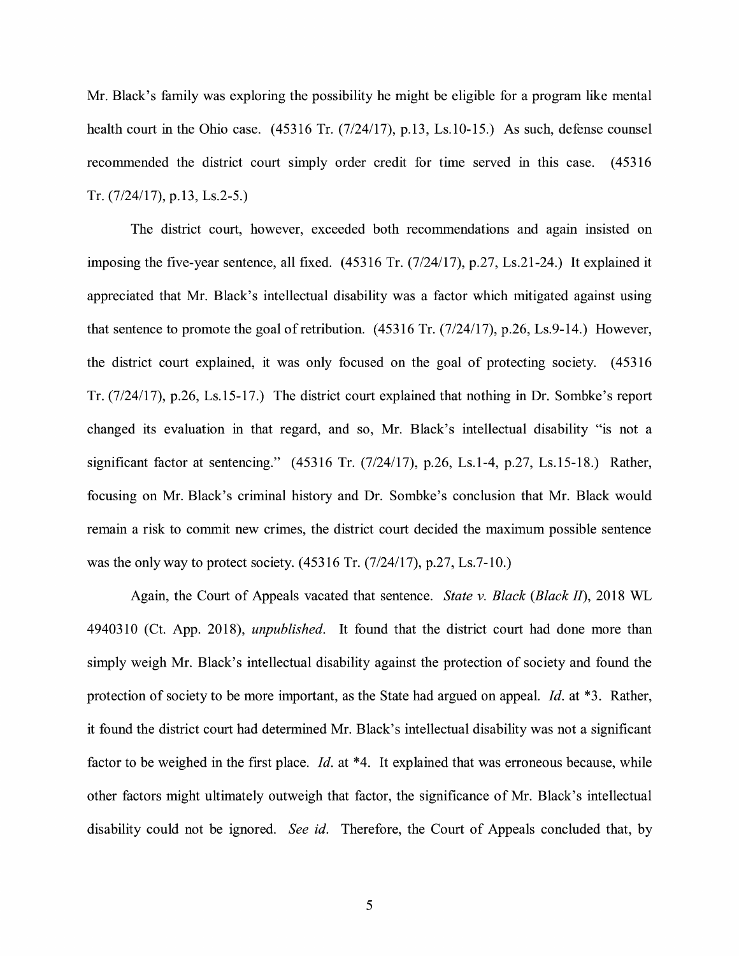Mr. Black's family was exploring the possibility he might be eligible for a program like mental health court in the Ohio case. (45316 Tr. (7/24/17), p.13, Ls.10-15.) As such, defense counsel recommended the district court simply order credit for time served in this case. ( 45316 Tr.  $(7/24/17)$ , p.13, Ls.2-5.)

The district court, however, exceeded both recommendations and agam insisted on imposing the five-year sentence, all fixed. (45316 Tr. (7/24/17), p.27, Ls.21-24.) It explained it appreciated that Mr. Black's intellectual disability was a factor which mitigated against using that sentence to promote the goal of retribution.  $(45316 \text{ Tr.} (7/24/17), p.26, Ls.9-14.)$  However, the district court explained, it was only focused on the goal of protecting society. ( 45316 Tr. (7/24/17), p.26, Ls.15-17.) The district court explained that nothing in Dr. Sombke's report changed its evaluation in that regard, and so, Mr. Black's intellectual disability "is not a significant factor at sentencing." (45316 Tr. (7/24/17), p.26, Ls.1-4, p.27, Ls.15-18.) Rather, focusing on Mr. Black's criminal history and Dr. Sombke's conclusion that Mr. Black would remain a risk to commit new crimes, the district court decided the maximum possible sentence was the only way to protect society.  $(45316 \text{ Tr.} (7/24/17), p.27, Ls.7-10.)$ 

Again, the Court of Appeals vacated that sentence. *State v. Black (Black II),* 2018 WL 4940310 ( Ct. App. 2018), *unpublished.* It found that the district court had done more than simply weigh Mr. Black's intellectual disability against the protection of society and found the protection of society to be more important, as the State had argued on appeal. *Id.* at \*3. Rather, it found the district court had determined Mr. Black's intellectual disability was not a significant factor to be weighed in the first place. *Id.* at \*4. It explained that was erroneous because, while other factors might ultimately outweigh that factor, the significance of Mr. Black's intellectual disability could not be ignored. *See id.* Therefore, the Court of Appeals concluded that, by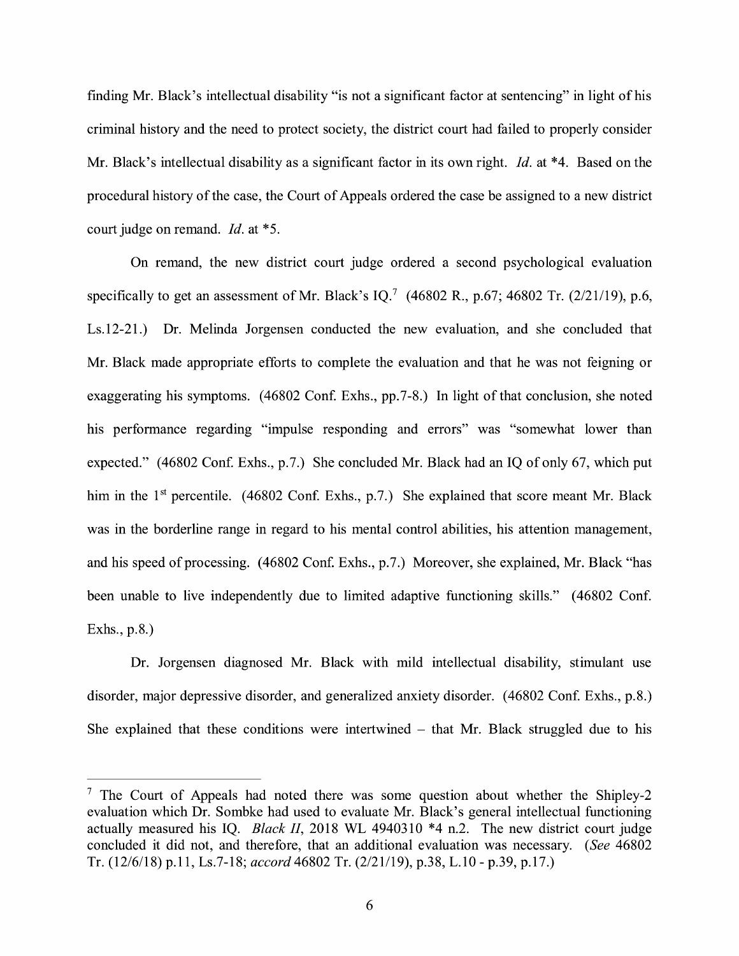finding Mr. Black's intellectual disability "is not a significant factor at sentencing" in light of his criminal history and the need to protect society, the district court had failed to properly consider Mr. Black's intellectual disability as a significant factor in its own right. *Id.* at \*4. Based on the procedural history of the case, the Court of Appeals ordered the case be assigned to a new district court judge on remand. *Id.* at \*5.

On remand, the new district court judge ordered a second psychological evaluation specifically to get an assessment of Mr. Black's IQ.<sup>7</sup> (46802 R., p.67; 46802 Tr. (2/21/19), p.6, Ls.12-21.) Dr. Melinda Jorgensen conducted the new evaluation, and she concluded that Mr. Black made appropriate efforts to complete the evaluation and that he was not feigning or exaggerating his symptoms. (46802 Conf. Exhs., pp.7-8.) In light of that conclusion, she noted his performance regarding "impulse responding and errors" was "somewhat lower than expected." (46802 Conf. Exhs., p.7.) She concluded Mr. Black had an IQ of only 67, which put him in the  $1<sup>st</sup>$  percentile. (46802 Conf. Exhs., p.7.) She explained that score meant Mr. Black was in the borderline range in regard to his mental control abilities, his attention management, and his speed of processing. (46802 Conf. Exhs., p.7.) Moreover, she explained, Mr. Black "has been unable to live independently due to limited adaptive functioning skills." (46802 Conf. Exhs., p.8.)

Dr. Jorgensen diagnosed Mr. Black with mild intellectual disability, stimulant use disorder, major depressive disorder, and generalized anxiety disorder. (46802 Conf. Exhs., p.8.) She explained that these conditions were intertwined  $-$  that Mr. Black struggled due to his

<sup>&</sup>lt;sup>7</sup> The Court of Appeals had noted there was some question about whether the Shipley-2 evaluation which Dr. Sombke had used to evaluate Mr. Black's general intellectual functioning actually measured his IQ. *Black 11,* 2018 WL 4940310 \*4 n.2. The new district court judge concluded it did not, and therefore, that an additional evaluation was necessary. *(See* 46802 Tr. (12/6/18) p.11, Ls.7-18; *accord* 46802 Tr. (2/21/19), p.38, L.10 - p.39, p.17.)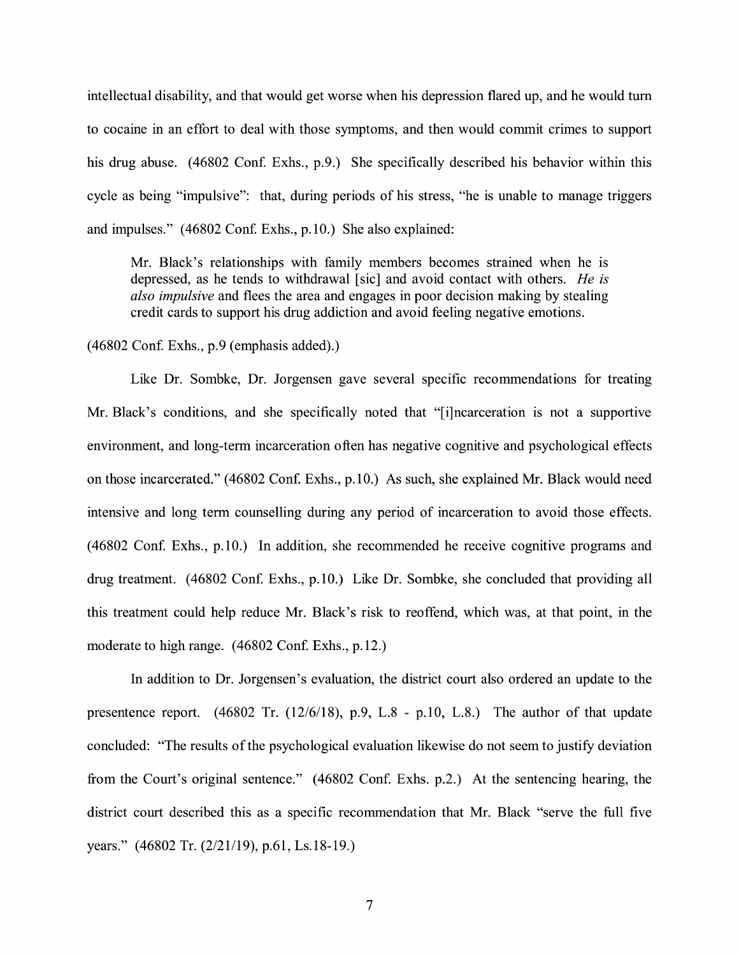intellectual disability, and that would get worse when his depression flared up, and he would tum to cocaine in an effort to deal with those symptoms, and then would commit crimes to support his drug abuse. (46802 Conf. Exhs., p.9.) She specifically described his behavior within this cycle as being "impulsive": that, during periods of his stress, "he is unable to manage triggers and impulses." (46802 Conf. Exhs., p.10.) She also explained:

Mr. Black's relationships with family members becomes strained when he is depressed, as he tends to withdrawal [sic] and avoid contact with others. *He is also impulsive* and flees the area and engages in poor decision making by stealing credit cards to support his drug addiction and avoid feeling negative emotions.

 $(46802 \text{ Conf.}$  Exhs., p.9 (emphasis added).)

Like Dr. Sombke, Dr. Jorgensen gave several specific recommendations for treating Mr. Black's conditions, and she specifically noted that "[i]ncarceration is not a supportive environment, and long-term incarceration often has negative cognitive and psychological effects on those incarcerated." (46802 Conf. Exhs., p.10.) As such, she explained Mr. Black would need intensive and long term counselling during any period of incarceration to avoid those effects. ( 46802 Con£ Exhs., p.10.) In addition, she recommended he receive cognitive programs and drug treatment. (46802 Conf. Exhs., p.10.) Like Dr. Sombke, she concluded that providing all this treatment could help reduce Mr. Black's risk to reoffend, which was, at that point, in the moderate to high range. (46802 Conf. Exhs., p.12.)

In addition to Dr. Jorgensen's evaluation, the district court also ordered an update to the presentence report. (46802 Tr. (12/6/18), p.9, L.8 - p.10, L.8.) The author of that update concluded: "The results of the psychological evaluation likewise do not seem to justify deviation from the Court's original sentence." (46802 Conf. Exhs. p.2.) At the sentencing hearing, the district court described this as a specific recommendation that Mr. Black "serve the full five years." (46802 Tr. (2/21/19), p.61, Ls.18-19.)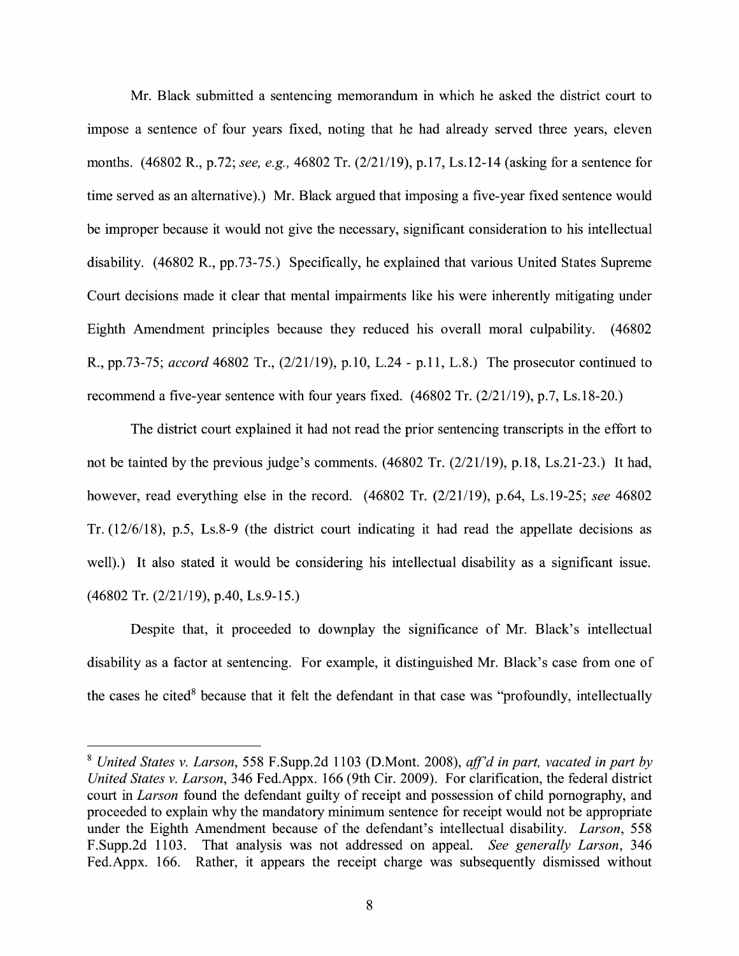Mr. Black submitted a sentencing memorandum in which he asked the district court to impose a sentence of four years fixed, noting that he had already served three years, eleven months. (46802 R., p.72; *see, e.g.,* 46802 Tr. (2/21/19), p.17, Ls.12-14 (asking for a sentence for time served as an alternative).) Mr. Black argued that imposing a five-year fixed sentence would be improper because it would not give the necessary, significant consideration to his intellectual disability. (46802 R., pp.73-75.) Specifically, he explained that various United States Supreme Court decisions made it clear that mental impairments like his were inherently mitigating under Eighth Amendment principles because they reduced his overall moral culpability. ( 46802 R., pp.73-75; *accord* 46802 Tr., (2/21/19), p.10, L.24 - p.11, L.8.) The prosecutor continued to recommend a five-year sentence with four years fixed. (46802 Tr. (2/21/19), p.7, Ls.18-20.)

The district court explained it had not read the prior sentencing transcripts in the effort to not be tainted by the previous judge's comments. (46802 Tr. (2/21/19), p.18, Ls.21-23.) It had, however, read everything else in the record. ( 46802 Tr. (2/21/19), p.64, Ls.19-25; *see* 46802 Tr. (12/6/18), p.5, Ls.8-9 (the district court indicating it had read the appellate decisions as well).) It also stated it would be considering his intellectual disability as a significant issue. (46802 Tr. (2/21/19), p.40, Ls.9-15.)

Despite that, it proceeded to downplay the significance of Mr. Black's intellectual disability as a factor at sentencing. For example, it distinguished Mr. Black's case from one of the cases he cited<sup>8</sup> because that it felt the defendant in that case was "profoundly, intellectually

<sup>8</sup>*United States v. Larson,* 558 F.Supp.2d 1103 (D.Mont. 2008), *ajf'd in part, vacated in part by United States v. Larson,* 346 Fed.Appx. 166 (9th Cir. 2009). For clarification, the federal district court in *Larson* found the defendant guilty of receipt and possession of child pornography, and proceeded to explain why the mandatory minimum sentence for receipt would not be appropriate under the Eighth Amendment because of the defendant's intellectual disability. *Larson,* 558 F.Supp.2d 1103. That analysis was not addressed on appeal. *See generally Larson,* 346 Fed.Appx. 166. Rather, it appears the receipt charge was subsequently dismissed without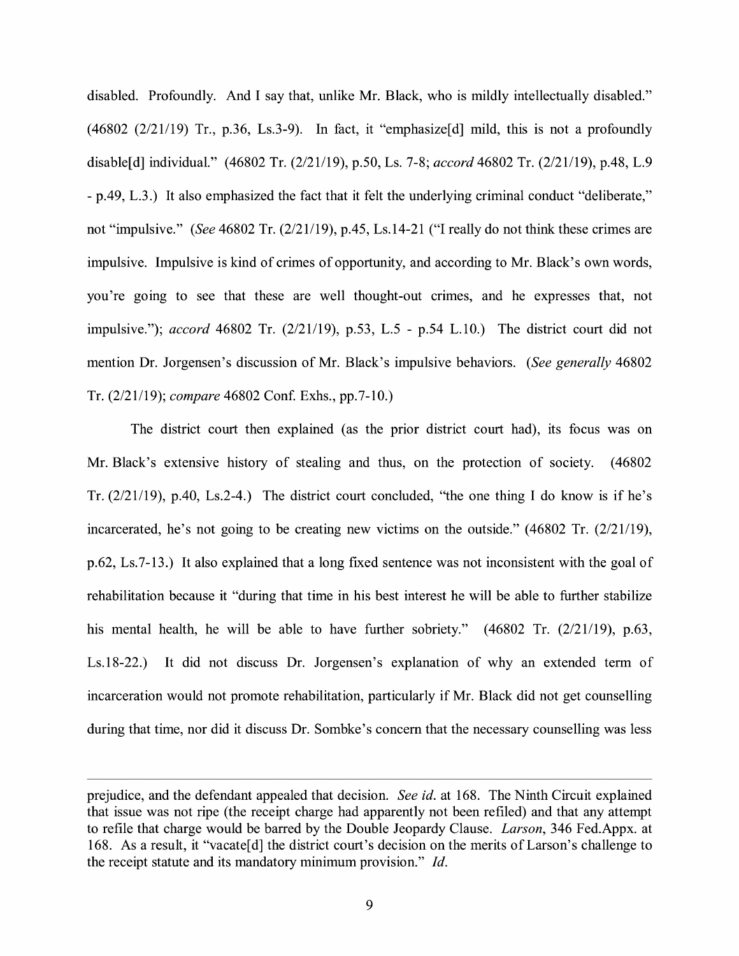disabled. Profoundly. And I say that, unlike Mr. Black, who is mildly intellectually disabled."  $(46802 \ (2/21/19)$  Tr., p.36, Ls.3-9). In fact, it "emphasize [d] mild, this is not a profoundly disable[d] individual." (46802 Tr. (2/21/19), p.50, Ls. 7-8; *accord* 46802 Tr. (2/21/19), p.48, L.9 - p.49, L.3.) It also emphasized the fact that it felt the underlying criminal conduct "deliberate," not "impulsive." *(See* 46802 Tr. (2/21/19), p.45, Ls.14-21 ("I really do not think these crimes are impulsive. Impulsive is kind of crimes of opportunity, and according to Mr. Black's own words, you're going to see that these are well thought-out crimes, and he expresses that, not impulsive."); *accord* 46802 Tr. (2/21/19), p.53, L.5 - p.54 L.10.) The district court did not mention Dr. Jorgensen's discussion of Mr. Black's impulsive behaviors. *(See generally* 46802 Tr. (2/21/19); *compare* 46802 Conf. Exhs., pp.7-10.)

The district court then explained (as the prior district court had), its focus was on Mr. Black's extensive history of stealing and thus, on the protection of society. (46802 Tr. (2/21/19), p.40, Ls.2-4.) The district court concluded, "the one thing I do know is if he's incarcerated, he's not going to be creating new victims on the outside."  $(46802 \text{ Tr.} (2/21/19))$ , p.62, Ls.7-13.) It also explained that a long fixed sentence was not inconsistent with the goal of rehabilitation because it "during that time in his best interest he will be able to further stabilize his mental health, he will be able to have further sobriety." (46802 Tr. (2/21/19), p.63, Ls.18-22.) It did not discuss Dr. Jorgensen's explanation of why an extended term of incarceration would not promote rehabilitation, particularly if Mr. Black did not get counselling during that time, nor did it discuss Dr. Sombke's concern that the necessary counselling was less

prejudice, and the defendant appealed that decision. *See id.* at 168. The Ninth Circuit explained that issue was not ripe ( the receipt charge had apparently not been refiled) and that any attempt to refile that charge would be barred by the Double Jeopardy Clause. *Larson,* 346 Fed.Appx. at 168. As a result, it "vacate[d] the district court's decision on the merits of Larson's challenge to the receipt statute and its mandatory minimum provision." *Id.*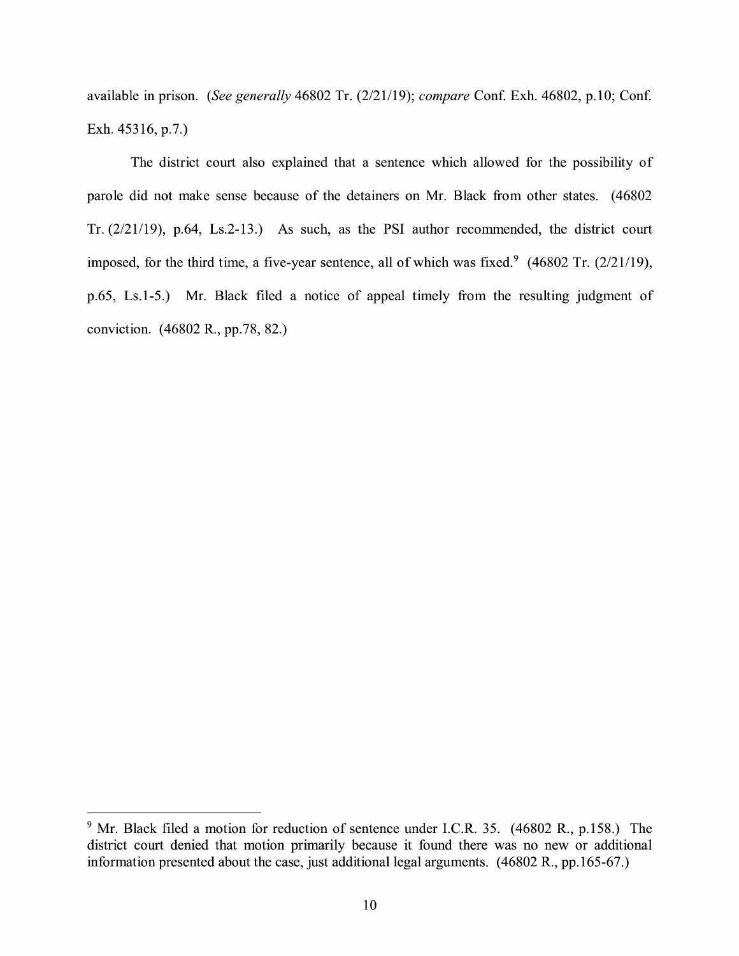available in prison. *(See generally 46802 Tr. (2/21/19); compare Conf. Exh. 46802, p.10; Conf.* Exh. 45316, p.7.)

The district court also explained that a sentence which allowed for the possibility of parole did not make sense because of the detainers on Mr. Black from other states. ( 46802 Tr. (2/21/19), p.64, Ls.2-13.) As such, as the PSI author recommended, the district court imposed, for the third time, a five-year sentence, all of which was fixed.<sup>9</sup> (46802 Tr.  $(2/21/19)$ , p.65, Ls.1-5.) Mr. Black filed a notice of appeal timely from the resulting judgment of conviction. (46802 R., pp.78, 82.)

<sup>&</sup>lt;sup>9</sup> Mr. Black filed a motion for reduction of sentence under I.C.R. 35. (46802 R., p.158.) The district court denied that motion primarily because it found there was no new or additional information presented about the case, just additional legal arguments. ( 46802 R., pp.165-67.)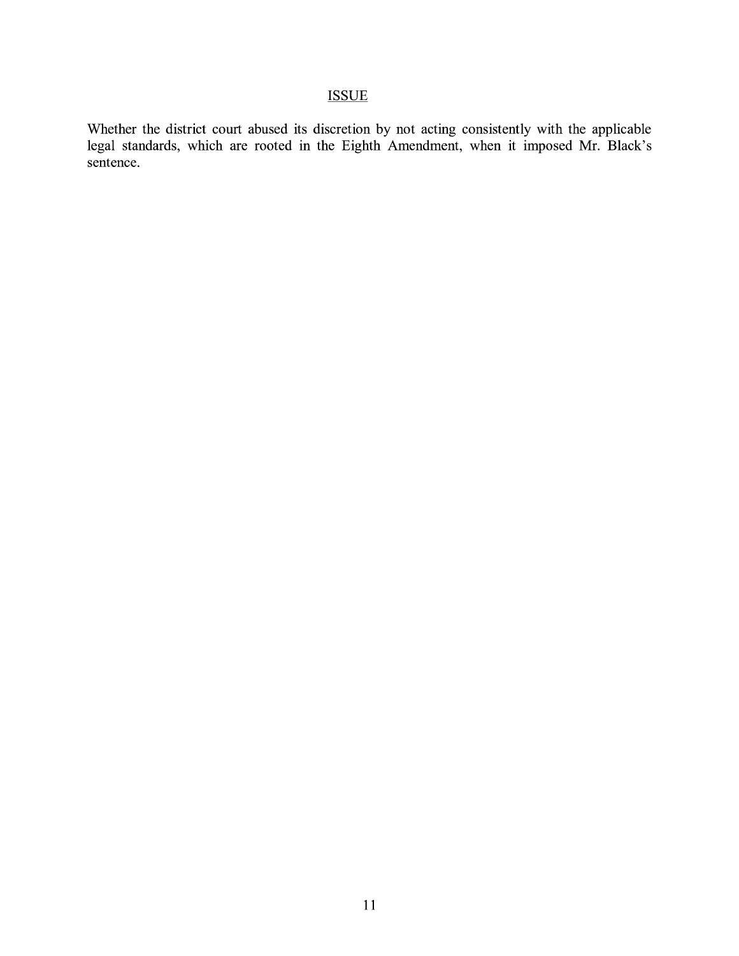# **ISSUE**

Whether the district court abused its discretion by not acting consistently with the applicable legal standards, which are rooted in the Eighth Amendment, when it imposed Mr. Black's sentence.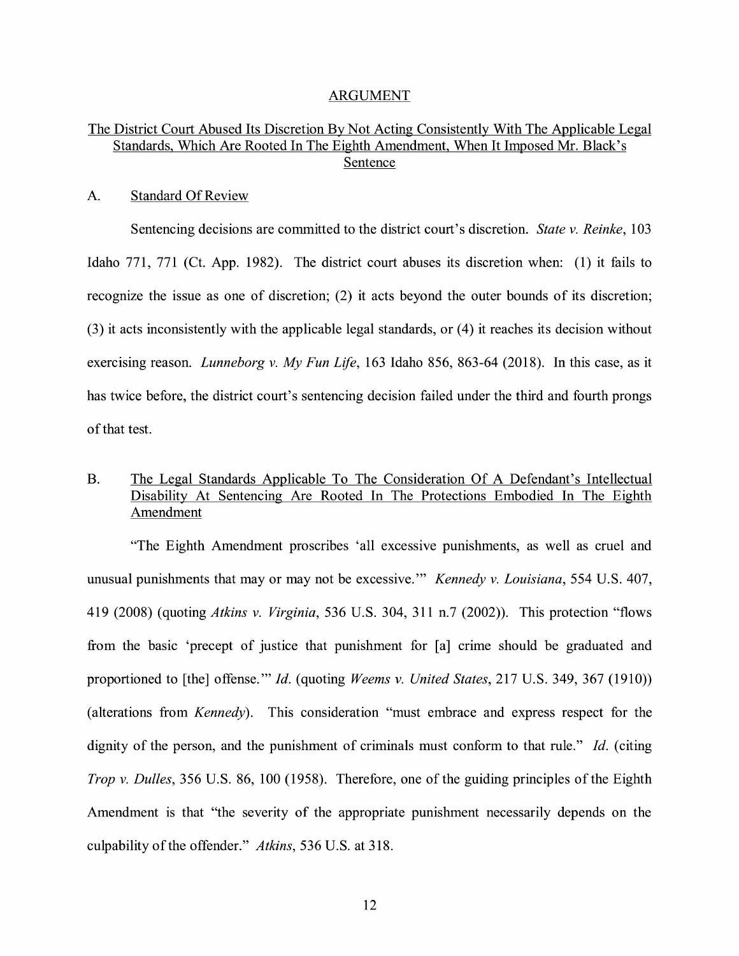#### ARGUMENT

## The District Court Abused Its Discretion By Not Acting Consistently With The Applicable Legal Standards, Which Are Rooted In The Eighth Amendment, When It Imposed Mr. Black's Sentence

#### A. Standard Of Review

Sentencing decisions are committed to the district court's discretion. *State v. Reinke,* l 03 Idaho 771, 771 (Ct. App. 1982). The district court abuses its discretion when: (1) it fails to recognize the issue as one of discretion; (2) it acts beyond the outer bounds of its discretion; (3) it acts inconsistently with the applicable legal standards, or ( 4) it reaches its decision without exercising reason. *Lunneborg v. My Fun Life,* 163 Idaho 856, 863-64 (2018). In this case, as it has twice before, the district court's sentencing decision failed under the third and fourth prongs of that test.

## B. The Legal Standards Applicable To The Consideration Of A Defendant's Intellectual Disability At Sentencing Are Rooted In The Protections Embodied In The Eighth Amendment

"The Eighth Amendment proscribes 'all excessive punishments, as well as cruel and unusual punishments that may or may not be excessive."' *Kennedy v. Louisiana,* 554 U.S. 407, 419 (2008) (quoting *Atkins v. Virginia,* 536 U.S. 304, 311 n.7 (2002)). This protection "flows from the basic 'precept of justice that punishment for [a] crime should be graduated and proportioned to [the] offense."' *Id.* (quoting *Weems v. United States,* 217 U.S. 349,367 (1910)) (alterations from *Kennedy).* This consideration "must embrace and express respect for the dignity of the person, and the punishment of criminals must conform to that rule." *Id.* (citing *Trop v. Dulles,* 356 U.S. 86, 100 (1958). Therefore, one of the guiding principles of the Eighth Amendment is that "the severity of the appropriate punishment necessarily depends on the culpability of the offender." *Atkins,* 536 U.S. at 318.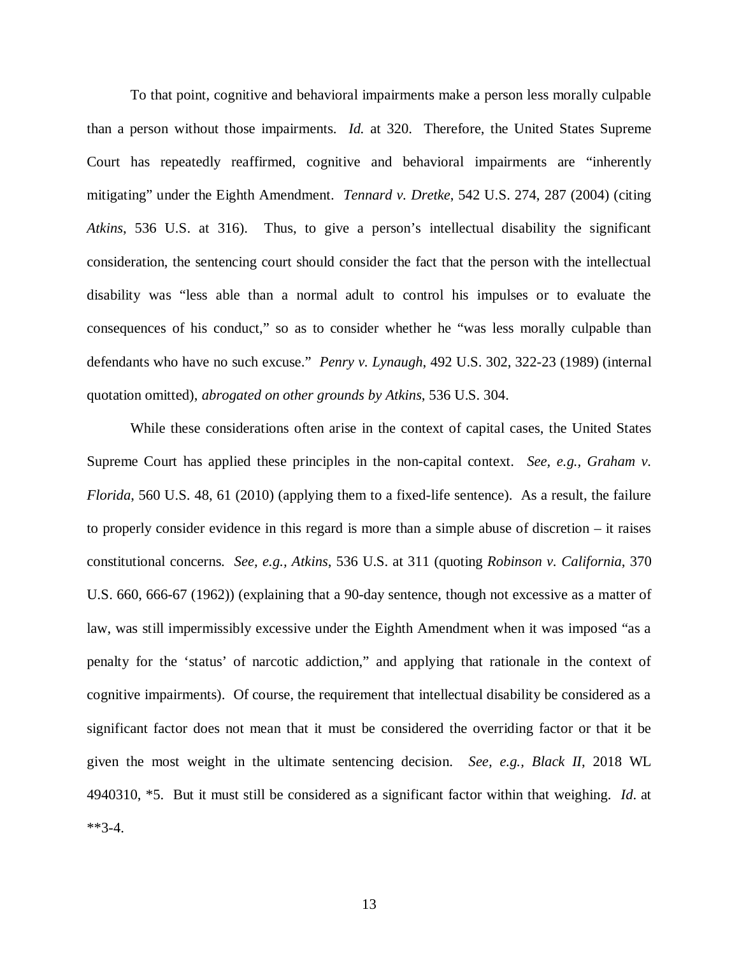To that point, cognitive and behavioral impairments make a person less morally culpable than a person without those impairments. *Id.* at 320. Therefore, the United States Supreme Court has repeatedly reaffirmed, cognitive and behavioral impairments are "inherently mitigating" under the Eighth Amendment. *Tennard v. Dretke*, 542 U.S. 274, 287 (2004) (citing *Atkins*, 536 U.S. at 316). Thus, to give a person's intellectual disability the significant consideration, the sentencing court should consider the fact that the person with the intellectual disability was "less able than a normal adult to control his impulses or to evaluate the consequences of his conduct," so as to consider whether he "was less morally culpable than defendants who have no such excuse." *Penry v. Lynaugh*, 492 U.S. 302, 322-23 (1989) (internal quotation omitted), *abrogated on other grounds by Atkins*, 536 U.S. 304.

While these considerations often arise in the context of capital cases, the United States Supreme Court has applied these principles in the non-capital context. *See, e.g., Graham v. Florida*, 560 U.S. 48, 61 (2010) (applying them to a fixed-life sentence). As a result, the failure to properly consider evidence in this regard is more than a simple abuse of discretion – it raises constitutional concerns. *See, e.g., Atkins*, 536 U.S. at 311 (quoting *Robinson v. California*, 370 U.S. 660, 666-67 (1962)) (explaining that a 90-day sentence, though not excessive as a matter of law, was still impermissibly excessive under the Eighth Amendment when it was imposed "as a penalty for the 'status' of narcotic addiction," and applying that rationale in the context of cognitive impairments). Of course, the requirement that intellectual disability be considered as a significant factor does not mean that it must be considered the overriding factor or that it be given the most weight in the ultimate sentencing decision. *See, e.g., Black II*, 2018 WL 4940310, \*5. But it must still be considered as a significant factor within that weighing. *Id*. at \*\*3-4.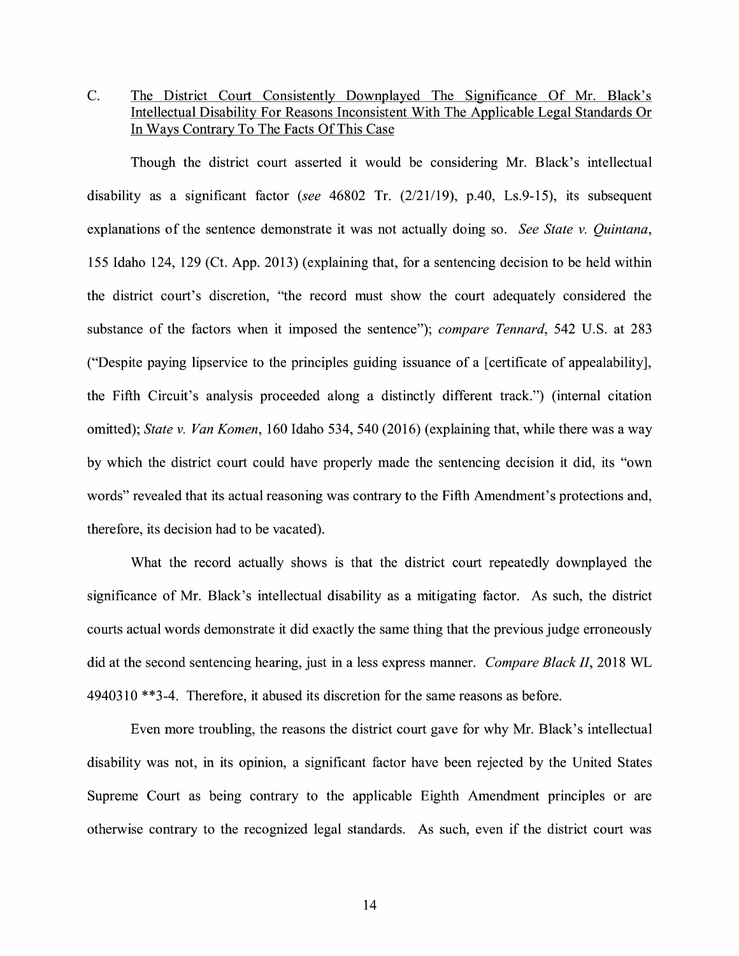C. The District Court Consistently Downplayed The Significance Of Mr. Black's Intellectual Disability For Reasons Inconsistent With The Applicable Legal Standards Or In Ways Contrary To The Facts Of This Case

Though the district court asserted it would be considering Mr. Black's intellectual disability as a significant factor *(see* 46802 Tr. (2/21/19), p.40, Ls.9-15), its subsequent explanations of the sentence demonstrate it was not actually doing so. *See State v. Quintana,*  155 Idaho 124, 129 (Ct. App. 2013) (explaining that, for a sentencing decision to be held within the district court's discretion, "the record must show the court adequately considered the substance of the factors when it imposed the sentence"); *compare Tennard,* 542 U.S. at 283 ("Despite paying lipservice to the principles guiding issuance of a [certificate of appealability], the Fifth Circuit's analysis proceeded along a distinctly different track.") (internal citation omitted); *State v. Van Komen*, 160 Idaho 534, 540 (2016) (explaining that, while there was a way by which the district court could have properly made the sentencing decision it did, its "own words" revealed that its actual reasoning was contrary to the Fifth Amendment's protections and, therefore, its decision had to be vacated).

What the record actually shows is that the district court repeatedly downplayed the significance of Mr. Black's intellectual disability as a mitigating factor. As such, the district courts actual words demonstrate it did exactly the same thing that the previous judge erroneously did at the second sentencing hearing, just in a less express manner. *Compare Black II,* 2018 WL 4940310 \*\*3-4. Therefore, it abused its discretion for the same reasons as before.

Even more troubling, the reasons the district court gave for why Mr. Black's intellectual disability was not, in its opinion, a significant factor have been rejected by the United States Supreme Court as being contrary to the applicable Eighth Amendment principles or are otherwise contrary to the recognized legal standards. As such, even if the district court was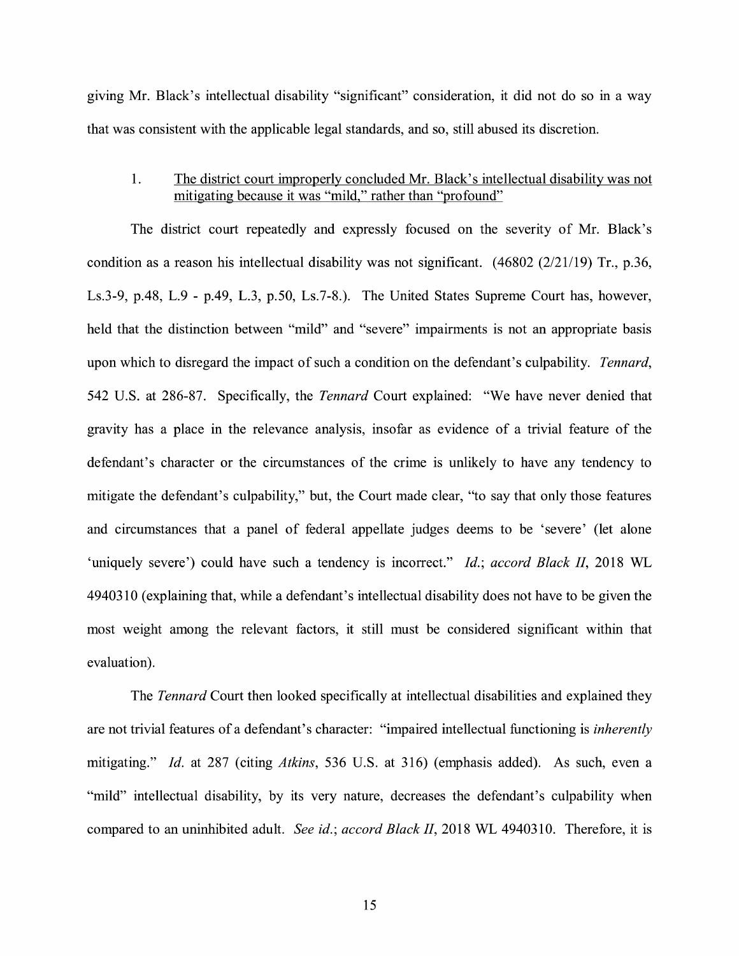giving Mr. Black's intellectual disability "significant" consideration, it did not do so in a way that was consistent with the applicable legal standards, and so, still abused its discretion.

### 1. The district court improperly concluded Mr. Black's intellectual disability was not mitigating because it was "mild," rather than "profound"

The district court repeatedly and expressly focused on the severity of Mr. Black's condition as a reason his intellectual disability was not significant.  $(46802 \ (2/21/19)$  Tr., p.36, Ls.3-9, p.48, L.9 - p.49, L.3, p.50, Ls.7-8.). The United States Supreme Court has, however, held that the distinction between "mild" and "severe" impairments is not an appropriate basis upon which to disregard the impact of such a condition on the defendant's culpability. *Tennard,*  542 U.S. at 286-87. Specifically, the *Tennard* Court explained: "We have never denied that gravity has a place in the relevance analysis, insofar as evidence of a trivial feature of the defendant's character or the circumstances of the crime is unlikely to have any tendency to mitigate the defendant's culpability," but, the Court made clear, "to say that only those features and circumstances that a panel of federal appellate judges deems to be 'severe' (let alone 'uniquely severe') could have such a tendency is incorrect." *Id.; accord Black II,* 2018 WL 4940310 (explaining that, while a defendant's intellectual disability does not have to be given the most weight among the relevant factors, it still must be considered significant within that evaluation).

The *Tennard* Court then looked specifically at intellectual disabilities and explained they are not trivial features of a defendant's character: "impaired intellectual functioning is *inherently*  mitigating." *Id.* at 287 (citing *Atkins,* 536 U.S. at 316) (emphasis added). As such, even a "mild" intellectual disability, by its very nature, decreases the defendant's culpability when compared to an uninhibited adult. *See id.; accord Black II,* 2018 WL 4940310. Therefore, it is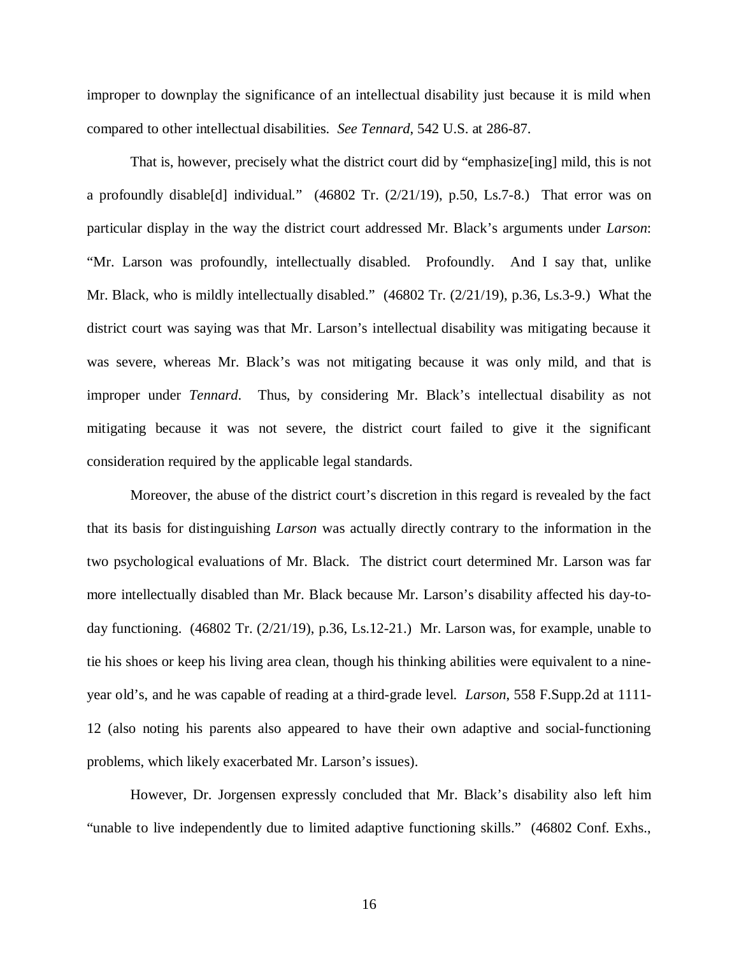improper to downplay the significance of an intellectual disability just because it is mild when compared to other intellectual disabilities. *See Tennard*, 542 U.S. at 286-87.

That is, however, precisely what the district court did by "emphasize[ing] mild, this is not a profoundly disable[d] individual." (46802 Tr. (2/21/19), p.50, Ls.7-8.) That error was on particular display in the way the district court addressed Mr. Black's arguments under *Larson*: "Mr. Larson was profoundly, intellectually disabled. Profoundly. And I say that, unlike Mr. Black, who is mildly intellectually disabled." (46802 Tr. (2/21/19), p.36, Ls.3-9.) What the district court was saying was that Mr. Larson's intellectual disability was mitigating because it was severe, whereas Mr. Black's was not mitigating because it was only mild, and that is improper under *Tennard*. Thus, by considering Mr. Black's intellectual disability as not mitigating because it was not severe, the district court failed to give it the significant consideration required by the applicable legal standards.

Moreover, the abuse of the district court's discretion in this regard is revealed by the fact that its basis for distinguishing *Larson* was actually directly contrary to the information in the two psychological evaluations of Mr. Black. The district court determined Mr. Larson was far more intellectually disabled than Mr. Black because Mr. Larson's disability affected his day-today functioning. (46802 Tr. (2/21/19), p.36, Ls.12-21.) Mr. Larson was, for example, unable to tie his shoes or keep his living area clean, though his thinking abilities were equivalent to a nineyear old's, and he was capable of reading at a third-grade level. *Larson*, 558 F.Supp.2d at 1111- 12 (also noting his parents also appeared to have their own adaptive and social-functioning problems, which likely exacerbated Mr. Larson's issues).

However, Dr. Jorgensen expressly concluded that Mr. Black's disability also left him "unable to live independently due to limited adaptive functioning skills." (46802 Conf. Exhs.,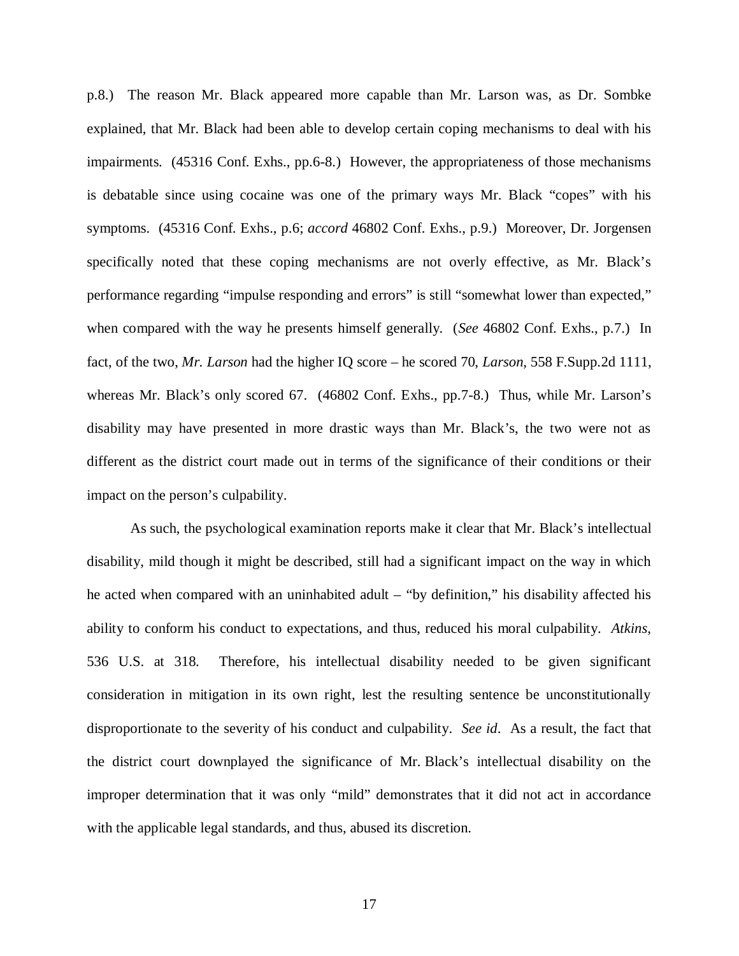p.8.) The reason Mr. Black appeared more capable than Mr. Larson was, as Dr. Sombke explained, that Mr. Black had been able to develop certain coping mechanisms to deal with his impairments. (45316 Conf. Exhs., pp.6-8.) However, the appropriateness of those mechanisms is debatable since using cocaine was one of the primary ways Mr. Black "copes" with his symptoms. (45316 Conf. Exhs., p.6; *accord* 46802 Conf. Exhs., p.9.) Moreover, Dr. Jorgensen specifically noted that these coping mechanisms are not overly effective, as Mr. Black's performance regarding "impulse responding and errors" is still "somewhat lower than expected," when compared with the way he presents himself generally. (*See* 46802 Conf. Exhs., p.7.) In fact, of the two, *Mr. Larson* had the higher IQ score – he scored 70, *Larson*, 558 F.Supp.2d 1111, whereas Mr. Black's only scored 67. (46802 Conf. Exhs., pp.7-8.) Thus, while Mr. Larson's disability may have presented in more drastic ways than Mr. Black's, the two were not as different as the district court made out in terms of the significance of their conditions or their impact on the person's culpability.

As such, the psychological examination reports make it clear that Mr. Black's intellectual disability, mild though it might be described, still had a significant impact on the way in which he acted when compared with an uninhabited adult – "by definition," his disability affected his ability to conform his conduct to expectations, and thus, reduced his moral culpability. *Atkins*, 536 U.S. at 318. Therefore, his intellectual disability needed to be given significant consideration in mitigation in its own right, lest the resulting sentence be unconstitutionally disproportionate to the severity of his conduct and culpability. *See id*. As a result, the fact that the district court downplayed the significance of Mr. Black's intellectual disability on the improper determination that it was only "mild" demonstrates that it did not act in accordance with the applicable legal standards, and thus, abused its discretion.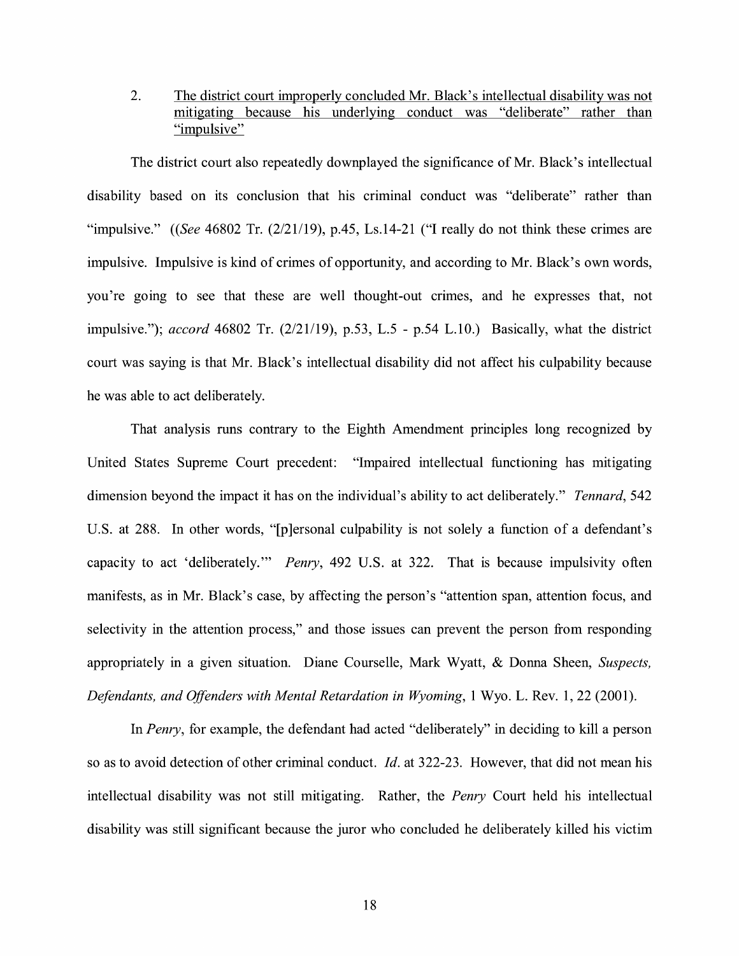2. The district court improperly concluded Mr. Black's intellectual disability was not mitigating because his underlying conduct was "deliberate" rather than "impulsive"

The district court also repeatedly downplayed the significance of Mr. Black's intellectual disability based on its conclusion that his criminal conduct was "deliberate" rather than "impulsive." *((See* 46802 Tr. (2/21/19), p.45, Ls.14-21 ("I really do not think these crimes are impulsive. Impulsive is kind of crimes of opportunity, and according to Mr. Black's own words, you're going to see that these are well thought-out crimes, and he expresses that, not impulsive."); *accord* 46802 Tr. (2/21/19), p.53, L.5 - p.54 L.10.) Basically, what the district court was saying is that Mr. Black's intellectual disability did not affect his culpability because he was able to act deliberately.

That analysis runs contrary to the Eighth Amendment principles long recognized by United States Supreme Court precedent: "Impaired intellectual functioning has mitigating dimension beyond the impact it has on the individual's ability to act deliberately." *Tennard,* 542 U.S. at 288. In other words, "[p]ersonal culpability is not solely a function of a defendant's capacity to act 'deliberately."' *Penry,* 492 U.S. at 322. That is because impulsivity often manifests, as in Mr. Black's case, by affecting the person's "attention span, attention focus, and selectivity in the attention process," and those issues can prevent the person from responding appropriately in a given situation. Diane Courselle, Mark Wyatt, & Donna Sheen, *Suspects, Defendants, and Offenders with Mental Retardation in Wyoming,* 1 Wyo. L. Rev. 1, 22 (2001).

In *Penry,* for example, the defendant had acted "deliberately" in deciding to kill a person so as to avoid detection of other criminal conduct. *Id.* at 322-23. However, that did not mean his intellectual disability was not still mitigating. Rather, the *Penry* Court held his intellectual disability was still significant because the juror who concluded he deliberately killed his victim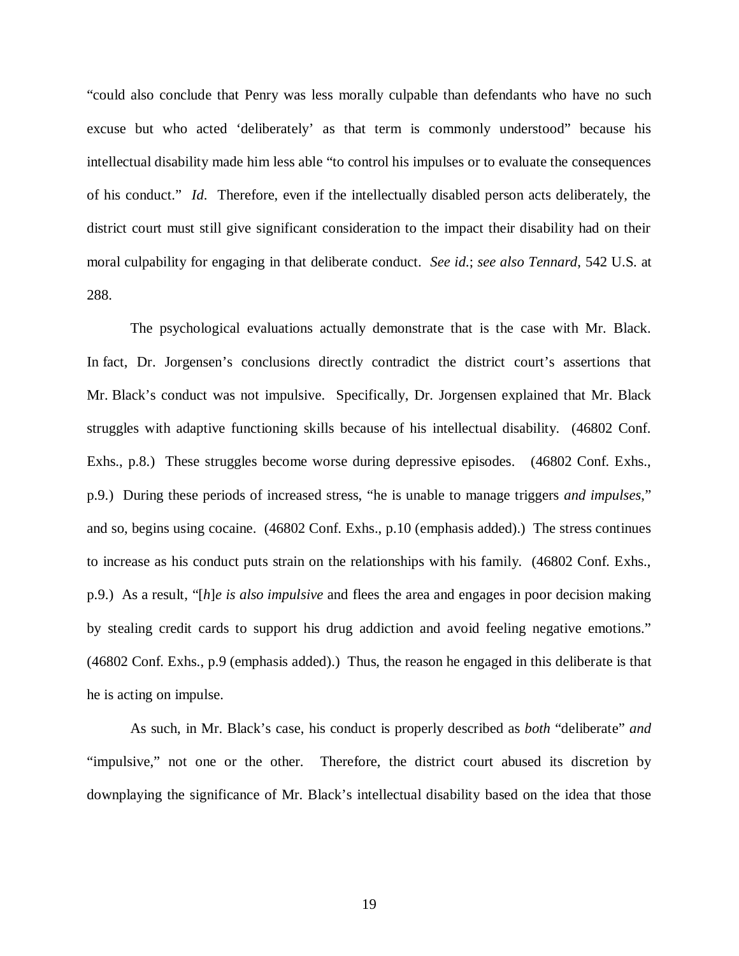"could also conclude that Penry was less morally culpable than defendants who have no such excuse but who acted 'deliberately' as that term is commonly understood" because his intellectual disability made him less able "to control his impulses or to evaluate the consequences of his conduct." *Id*. Therefore, even if the intellectually disabled person acts deliberately, the district court must still give significant consideration to the impact their disability had on their moral culpability for engaging in that deliberate conduct. *See id*.; *see also Tennard*, 542 U.S. at 288.

The psychological evaluations actually demonstrate that is the case with Mr. Black. In fact, Dr. Jorgensen's conclusions directly contradict the district court's assertions that Mr. Black's conduct was not impulsive. Specifically, Dr. Jorgensen explained that Mr. Black struggles with adaptive functioning skills because of his intellectual disability. (46802 Conf. Exhs., p.8.) These struggles become worse during depressive episodes. (46802 Conf. Exhs., p.9.) During these periods of increased stress, "he is unable to manage triggers *and impulses*," and so, begins using cocaine. (46802 Conf. Exhs., p.10 (emphasis added).) The stress continues to increase as his conduct puts strain on the relationships with his family. (46802 Conf. Exhs., p.9.) As a result, "[*h*]*e is also impulsive* and flees the area and engages in poor decision making by stealing credit cards to support his drug addiction and avoid feeling negative emotions." (46802 Conf. Exhs., p.9 (emphasis added).) Thus, the reason he engaged in this deliberate is that he is acting on impulse.

As such, in Mr. Black's case, his conduct is properly described as *both* "deliberate" *and* "impulsive," not one or the other. Therefore, the district court abused its discretion by downplaying the significance of Mr. Black's intellectual disability based on the idea that those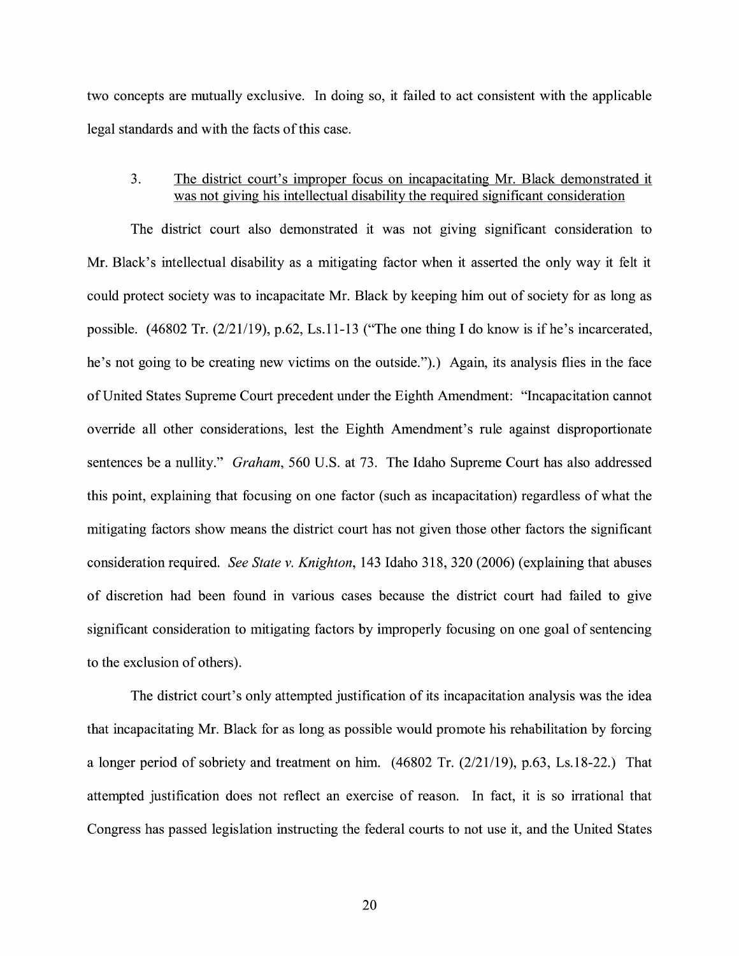two concepts are mutually exclusive. In doing so, it failed to act consistent with the applicable legal standards and with the facts of this case.

### 3. The district court's improper focus on incapacitating Mr. Black demonstrated it was not giving his intellectual disability the required significant consideration

The district court also demonstrated it was not giving significant consideration to Mr. Black's intellectual disability as a mitigating factor when it asserted the only way it felt it could protect society was to incapacitate Mr. Black by keeping him out of society for as long as possible. (46802 Tr. (2/21/19), p.62, Ls.11-13 ("The one thing I do know is if he's incarcerated, he's not going to be creating new victims on the outside.").) Again, its analysis flies in the face of United States Supreme Court precedent under the Eighth Amendment: "Incapacitation cannot override all other considerations, lest the Eighth Amendment's rule against disproportionate sentences be a nullity." *Graham,* 560 U.S. at 73. The Idaho Supreme Court has also addressed this point, explaining that focusing on one factor (such as incapacitation) regardless of what the mitigating factors show means the district court has not given those other factors the significant consideration required. *See State v. Knighton,* 143 Idaho 318, 320 (2006) ( explaining that abuses of discretion had been found in various cases because the district court had failed to give significant consideration to mitigating factors by improperly focusing on one goal of sentencing to the exclusion of others).

The district court's only attempted justification of its incapacitation analysis was the idea that incapacitating Mr. Black for as long as possible would promote his rehabilitation by forcing a longer period of sobriety and treatment on him. (46802 Tr. (2/21/19), p.63, Ls.18-22.) That attempted justification does not reflect an exercise of reason. In fact, it is so irrational that Congress has passed legislation instructing the federal courts to not use it, and the United States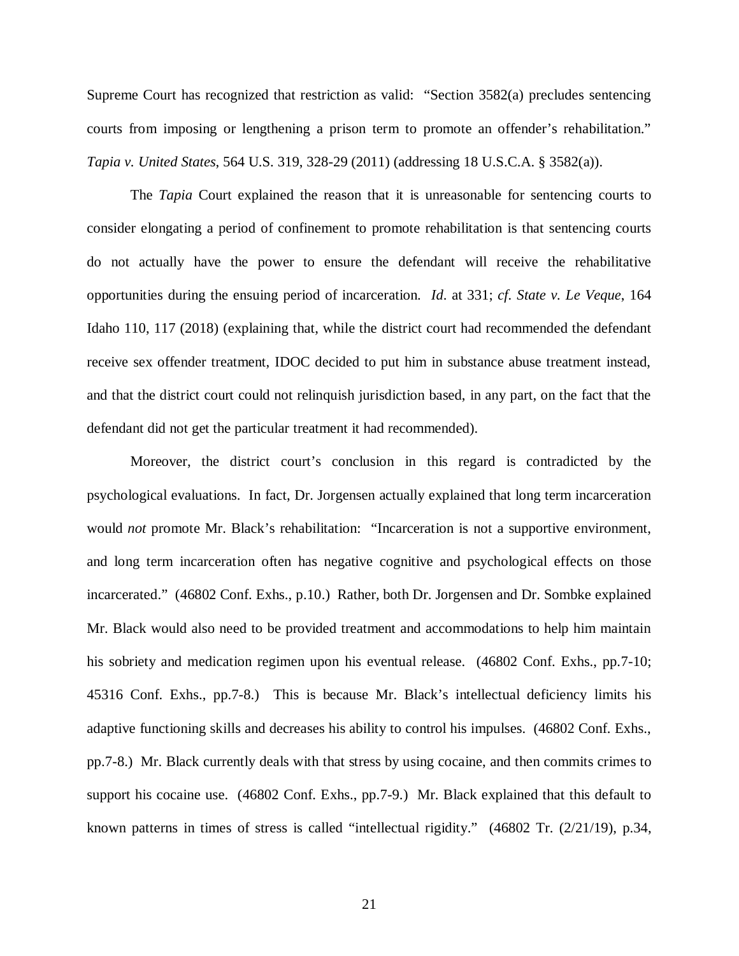Supreme Court has recognized that restriction as valid: "Section 3582(a) precludes sentencing courts from imposing or lengthening a prison term to promote an offender's rehabilitation." *Tapia v. United States*, 564 U.S. 319, 328-29 (2011) (addressing 18 U.S.C.A. § 3582(a)).

The *Tapia* Court explained the reason that it is unreasonable for sentencing courts to consider elongating a period of confinement to promote rehabilitation is that sentencing courts do not actually have the power to ensure the defendant will receive the rehabilitative opportunities during the ensuing period of incarceration. *Id*. at 331; *cf. State v. Le Veque*, 164 Idaho 110, 117 (2018) (explaining that, while the district court had recommended the defendant receive sex offender treatment, IDOC decided to put him in substance abuse treatment instead, and that the district court could not relinquish jurisdiction based, in any part, on the fact that the defendant did not get the particular treatment it had recommended).

Moreover, the district court's conclusion in this regard is contradicted by the psychological evaluations. In fact, Dr. Jorgensen actually explained that long term incarceration would *not* promote Mr. Black's rehabilitation: "Incarceration is not a supportive environment, and long term incarceration often has negative cognitive and psychological effects on those incarcerated." (46802 Conf. Exhs., p.10.) Rather, both Dr. Jorgensen and Dr. Sombke explained Mr. Black would also need to be provided treatment and accommodations to help him maintain his sobriety and medication regimen upon his eventual release. (46802 Conf. Exhs., pp.7-10; 45316 Conf. Exhs., pp.7-8.) This is because Mr. Black's intellectual deficiency limits his adaptive functioning skills and decreases his ability to control his impulses. (46802 Conf. Exhs., pp.7-8.) Mr. Black currently deals with that stress by using cocaine, and then commits crimes to support his cocaine use. (46802 Conf. Exhs., pp.7-9.) Mr. Black explained that this default to known patterns in times of stress is called "intellectual rigidity." (46802 Tr. (2/21/19), p.34,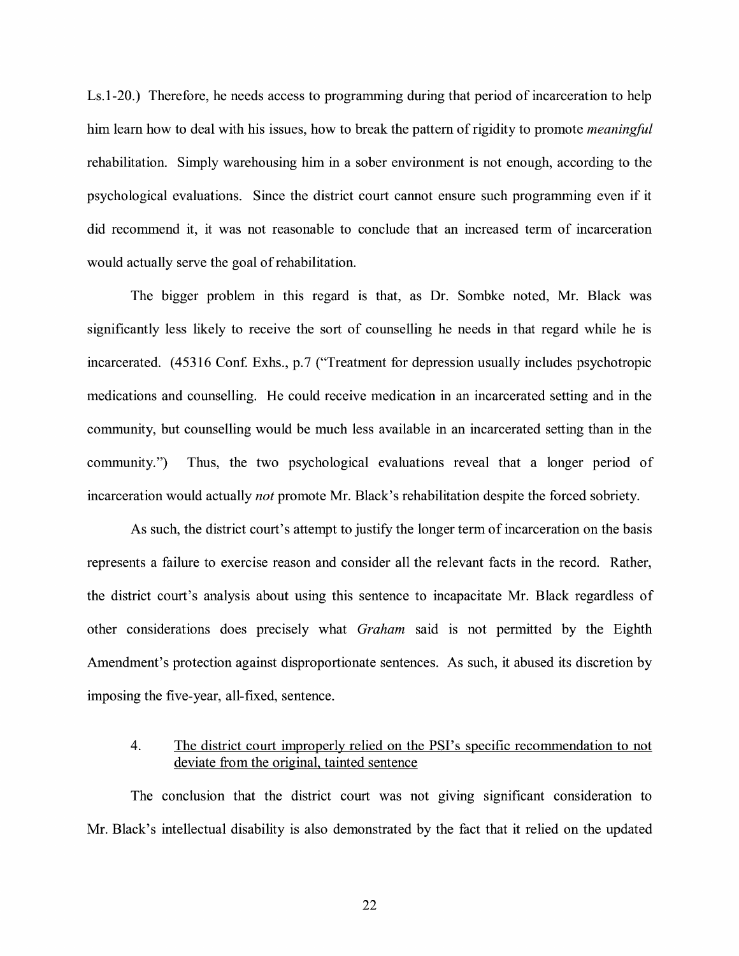Ls.1-20.) Therefore, he needs access to programming during that period of incarceration to help him learn how to deal with his issues, how to break the pattern of rigidity to promote *meaningful*  rehabilitation. Simply warehousing him in a sober environment is not enough, according to the psychological evaluations. Since the district court cannot ensure such programming even if it did recommend it, it was not reasonable to conclude that an increased term of incarceration would actually serve the goal of rehabilitation.

The bigger problem in this regard is that, as Dr. Sombke noted, Mr. Black was significantly less likely to receive the sort of counselling he needs in that regard while he is incarcerated. (45316 Conf. Exhs., p.7 ("Treatment for depression usually includes psychotropic medications and counselling. He could receive medication in an incarcerated setting and in the community, but counselling would be much less available in an incarcerated setting than in the community.") Thus, the two psychological evaluations reveal that a longer period of incarceration would actually *not* promote Mr. Black's rehabilitation despite the forced sobriety.

As such, the district court's attempt to justify the longer term of incarceration on the basis represents a failure to exercise reason and consider all the relevant facts in the record. Rather, the district court's analysis about using this sentence to incapacitate Mr. Black regardless of other considerations does precisely what *Graham* said is not permitted by the Eighth Amendment's protection against disproportionate sentences. As such, it abused its discretion by imposing the five-year, all-fixed, sentence.

## 4. The district court improperly relied on the PSI's specific recommendation to not deviate from the original, tainted sentence

The conclusion that the district court was not giving significant consideration to Mr. Black's intellectual disability is also demonstrated by the fact that it relied on the updated

22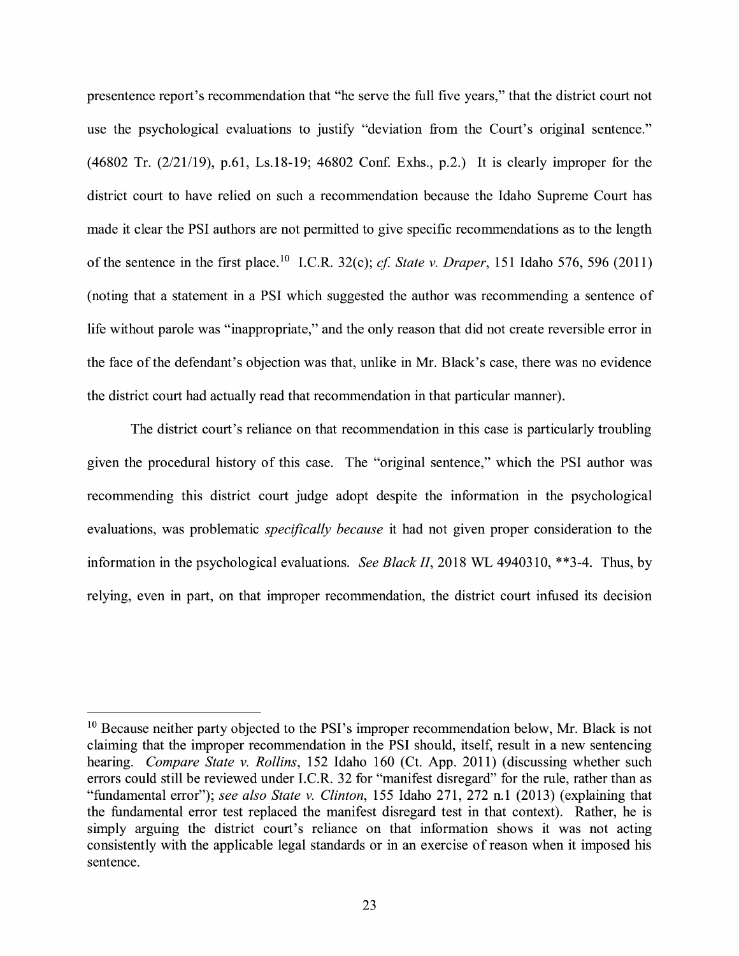presentence report's recommendation that "he serve the full five years," that the district court not use the psychological evaluations to justify "deviation from the Court's original sentence." (46802 Tr. (2/21/19), p.61, Ls.18-19; 46802 Con£ Exhs., p.2.) It is clearly improper for the district court to have relied on such a recommendation because the Idaho Supreme Court has made it clear the PSI authors are not permitted to give specific recommendations as to the length of the sentence in the first place. 10 I.C.R. 32(c); *cf State v. Draper,* 151 Idaho 576, 596 (2011) (noting that a statement in a PSI which suggested the author was recommending a sentence of life without parole was "inappropriate," and the only reason that did not create reversible error in the face of the defendant's objection was that, unlike in Mr. Black's case, there was no evidence the district court had actually read that recommendation in that particular manner).

The district court's reliance on that recommendation in this case is particularly troubling given the procedural history of this case. The "original sentence," which the PSI author was recommending this district court judge adopt despite the information in the psychological evaluations, was problematic *specifically because* it had not given proper consideration to the information in the psychological evaluations. *See Black II,* 2018 WL 4940310, \*\*3-4. Thus, by relying, even in part, on that improper recommendation, the district court infused its decision

<sup>&</sup>lt;sup>10</sup> Because neither party objected to the PSI's improper recommendation below, Mr. Black is not claiming that the improper recommendation in the PSI should, itself, result in a new sentencing hearing. *Compare State v. Rollins,* 152 Idaho 160 (Ct. App. 2011) (discussing whether such errors could still be reviewed under I.C.R. 32 for "manifest disregard" for the rule, rather than as "fundamental error"); *see also State v. Clinton,* 155 Idaho 271, 272 n.1 (2013) (explaining that the fundamental error test replaced the manifest disregard test in that context). Rather, he is simply arguing the district court's reliance on that information shows it was not acting consistently with the applicable legal standards or in an exercise of reason when it imposed his sentence.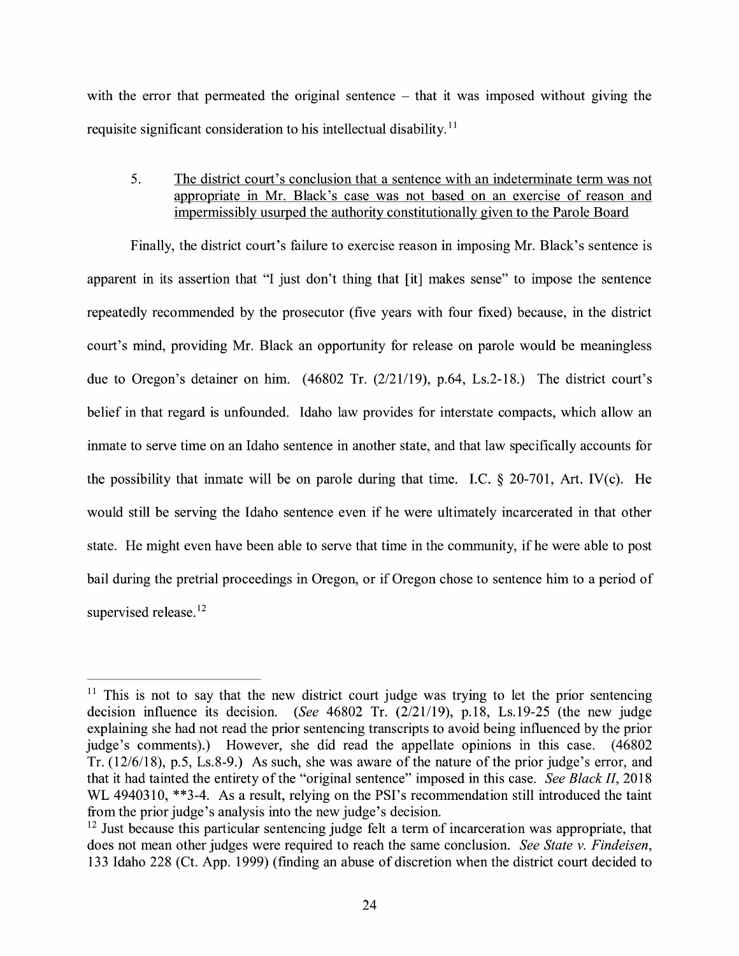with the error that permeated the original sentence  $-$  that it was imposed without giving the requisite significant consideration to his intellectual disability.<sup>11</sup>

5. The district court's conclusion that a sentence with an indeterminate term was not appropriate in Mr. Black's case was not based on an exercise of reason and impermissibly usurped the authority constitutionally given to the Parole Board

Finally, the district court's failure to exercise reason in imposing Mr. Black's sentence is apparent in its assertion that "I just don't thing that [it] makes sense" to impose the sentence repeatedly recommended by the prosecutor (five years with four fixed) because, in the district court's mind, providing Mr. Black an opportunity for release on parole would be meaningless due to Oregon's detainer on him. (46802 Tr. (2/21/19), p.64, Ls.2-18.) The district court's belief in that regard is unfounded. Idaho law provides for interstate compacts, which allow an inmate to serve time on an Idaho sentence in another state, and that law specifically accounts for the possibility that inmate will be on parole during that time. I.C.  $\S$  20-701, Art. IV(c). He would still be serving the Idaho sentence even if he were ultimately incarcerated in that other state. He might even have been able to serve that time in the community, if he were able to post bail during the pretrial proceedings in Oregon, or if Oregon chose to sentence him to a period of supervised release.<sup>12</sup>

 $11$  This is not to say that the new district court judge was trying to let the prior sentencing decision influence its decision. *(See* 46802 Tr. (2/21/19), p.18, Ls.19-25 (the new judge explaining she had not read the prior sentencing transcripts to avoid being influenced by the prior judge's comments).) However, she did read the appellate opinions in this case. (46802) Tr. (12/6/18), p.5, Ls.8-9.) As such, she was aware of the nature of the prior judge's error, and that it had tainted the entirety of the "original sentence" imposed in this case. *See Black II,* 2018 WL 4940310, \*\*3-4. As a result, relying on the PSI's recommendation still introduced the taint from the prior judge's analysis into the new judge's decision.

 $12$  Just because this particular sentencing judge felt a term of incarceration was appropriate, that does not mean other judges were required to reach the same conclusion. *See State v. Findeisen,*  133 Idaho 228 (Ct. App. 1999) (finding an abuse of discretion when the district court decided to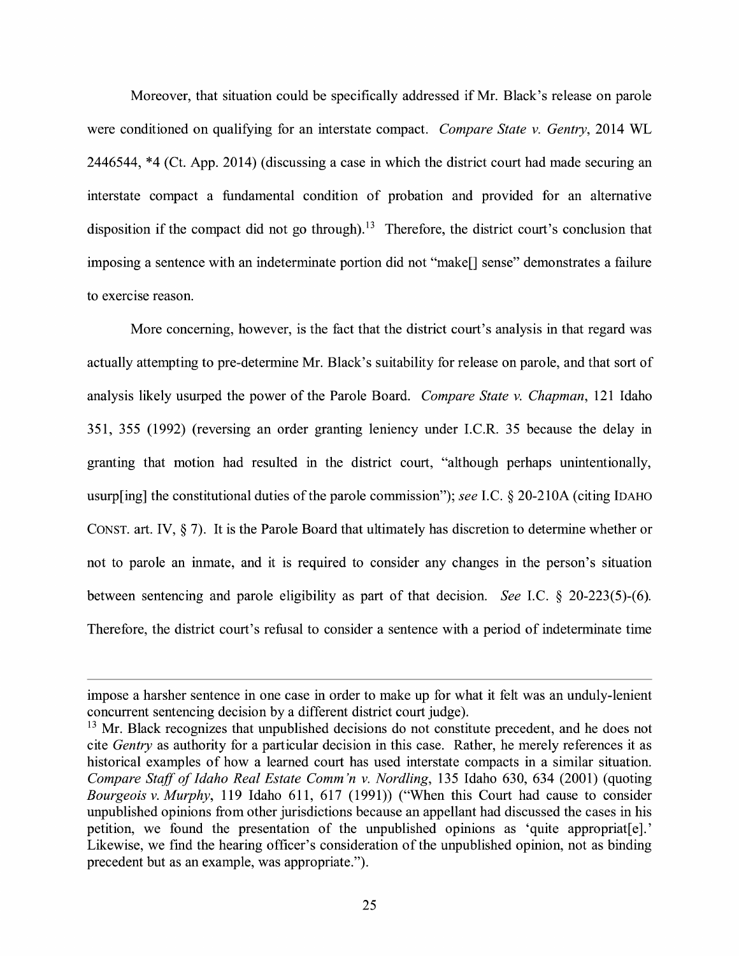Moreover, that situation could be specifically addressed if Mr. Black's release on parole were conditioned on qualifying for an interstate compact. *Compare State v. Gentry,* 2014 WL 2446544, \*4 (Ct. App. 2014) (discussing a case in which the district court had made securing an interstate compact a fundamental condition of probation and provided for an alternative disposition if the compact did not go through).<sup>13</sup> Therefore, the district court's conclusion that imposing a sentence with an indeterminate portion did not "make[] sense" demonstrates a failure to exercise reason.

More concerning, however, is the fact that the district court's analysis in that regard was actually attempting to pre-determine Mr. Black's suitability for release on parole, and that sort of analysis likely usurped the power of the Parole Board. *Compare State v. Chapman,* 121 Idaho 351, 355 (1992) (reversing an order granting leniency under I.C.R. 35 because the delay in granting that motion had resulted in the district court, "although perhaps unintentionally, usurp[ing] the constitutional duties of the parole commission"); *see* LC.§ 20-210A (citing IDAHO CONST. art. IV,  $\S$  7). It is the Parole Board that ultimately has discretion to determine whether or not to parole an inmate, and it is required to consider any changes in the person's situation between sentencing and parole eligibility as part of that decision. *See* I.C. § 20-223(5)-(6). Therefore, the district court's refusal to consider a sentence with a period of indeterminate time

impose a harsher sentence in one case in order to make up for what it felt was an unduly-lenient concurrent sentencing decision by a different district court judge).

<sup>&</sup>lt;sup>13</sup> Mr. Black recognizes that unpublished decisions do not constitute precedent, and he does not cite *Gentry* as authority for a particular decision in this case. Rather, he merely references it as historical examples of how a learned court has used interstate compacts in a similar situation. *Compare Staff of Idaho Real Estate Comm'n v. Nordling, 135 Idaho 630, 634 (2001) (quoting Bourgeois v. Murphy,* 119 Idaho 611, 617 (1991)) ("When this Court had cause to consider unpublished opinions from other jurisdictions because an appellant had discussed the cases in his petition, we found the presentation of the unpublished opinions as 'quite appropriat[e].' Likewise, we find the hearing officer's consideration of the unpublished opinion, not as binding precedent but as an example, was appropriate.").